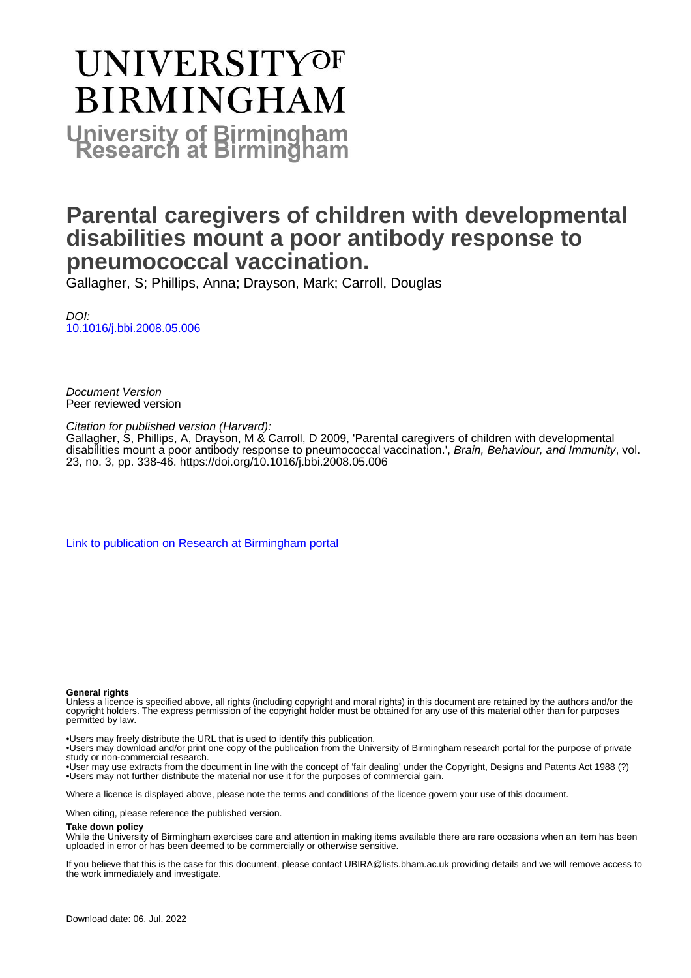# **UNIVERSITYOF BIRMINGHAM University of Birmingham**

# **Parental caregivers of children with developmental disabilities mount a poor antibody response to pneumococcal vaccination.**

Gallagher, S; Phillips, Anna; Drayson, Mark; Carroll, Douglas

DOI: [10.1016/j.bbi.2008.05.006](https://doi.org/10.1016/j.bbi.2008.05.006)

Document Version Peer reviewed version

Citation for published version (Harvard):

Gallagher, S, Phillips, A, Drayson, M & Carroll, D 2009, 'Parental caregivers of children with developmental disabilities mount a poor antibody response to pneumococcal vaccination.', Brain, Behaviour, and Immunity, vol. 23, no. 3, pp. 338-46. <https://doi.org/10.1016/j.bbi.2008.05.006>

[Link to publication on Research at Birmingham portal](https://birmingham.elsevierpure.com/en/publications/0c40d098-dcd3-4b05-8d12-17b87cdd02b5)

#### **General rights**

Unless a licence is specified above, all rights (including copyright and moral rights) in this document are retained by the authors and/or the copyright holders. The express permission of the copyright holder must be obtained for any use of this material other than for purposes permitted by law.

• Users may freely distribute the URL that is used to identify this publication.

• Users may download and/or print one copy of the publication from the University of Birmingham research portal for the purpose of private study or non-commercial research.

• User may use extracts from the document in line with the concept of 'fair dealing' under the Copyright, Designs and Patents Act 1988 (?) • Users may not further distribute the material nor use it for the purposes of commercial gain.

Where a licence is displayed above, please note the terms and conditions of the licence govern your use of this document.

When citing, please reference the published version.

#### **Take down policy**

While the University of Birmingham exercises care and attention in making items available there are rare occasions when an item has been uploaded in error or has been deemed to be commercially or otherwise sensitive.

If you believe that this is the case for this document, please contact UBIRA@lists.bham.ac.uk providing details and we will remove access to the work immediately and investigate.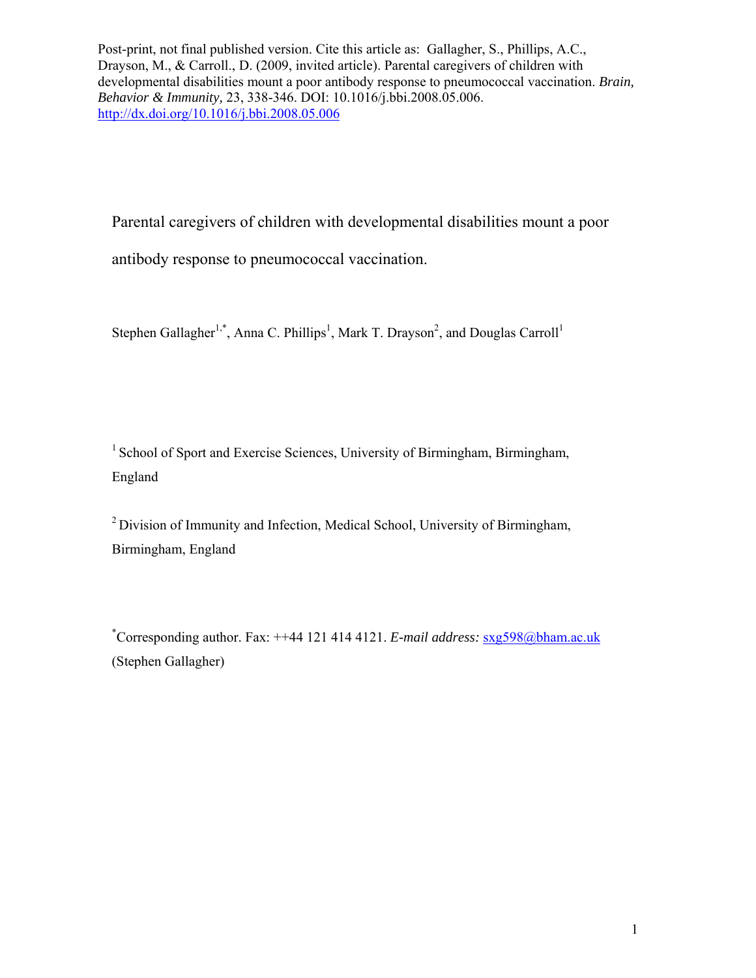Parental caregivers of children with developmental disabilities mount a poor

antibody response to pneumococcal vaccination.

Stephen Gallagher<sup>1,\*</sup>, Anna C. Phillips<sup>1</sup>, Mark T. Drayson<sup>2</sup>, and Douglas Carroll<sup>1</sup>

<sup>1</sup> School of Sport and Exercise Sciences, University of Birmingham, Birmingham, England

<sup>2</sup> Division of Immunity and Infection, Medical School, University of Birmingham, Birmingham, England

\* Corresponding author. Fax: ++44 121 414 4121. *E-mail address:* sxg598@bham.ac.uk (Stephen Gallagher)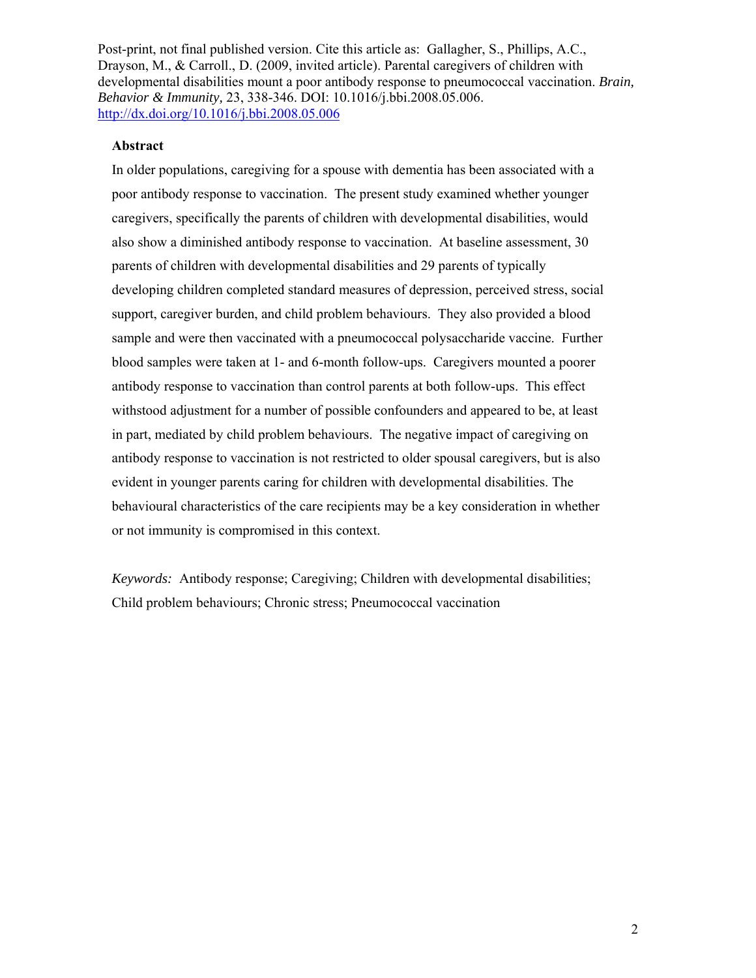### **Abstract**

In older populations, caregiving for a spouse with dementia has been associated with a poor antibody response to vaccination. The present study examined whether younger caregivers, specifically the parents of children with developmental disabilities, would also show a diminished antibody response to vaccination. At baseline assessment, 30 parents of children with developmental disabilities and 29 parents of typically developing children completed standard measures of depression, perceived stress, social support, caregiver burden, and child problem behaviours. They also provided a blood sample and were then vaccinated with a pneumococcal polysaccharide vaccine. Further blood samples were taken at 1- and 6-month follow-ups. Caregivers mounted a poorer antibody response to vaccination than control parents at both follow-ups. This effect withstood adjustment for a number of possible confounders and appeared to be, at least in part, mediated by child problem behaviours. The negative impact of caregiving on antibody response to vaccination is not restricted to older spousal caregivers, but is also evident in younger parents caring for children with developmental disabilities. The behavioural characteristics of the care recipients may be a key consideration in whether or not immunity is compromised in this context.

*Keywords:* Antibody response; Caregiving; Children with developmental disabilities; Child problem behaviours; Chronic stress; Pneumococcal vaccination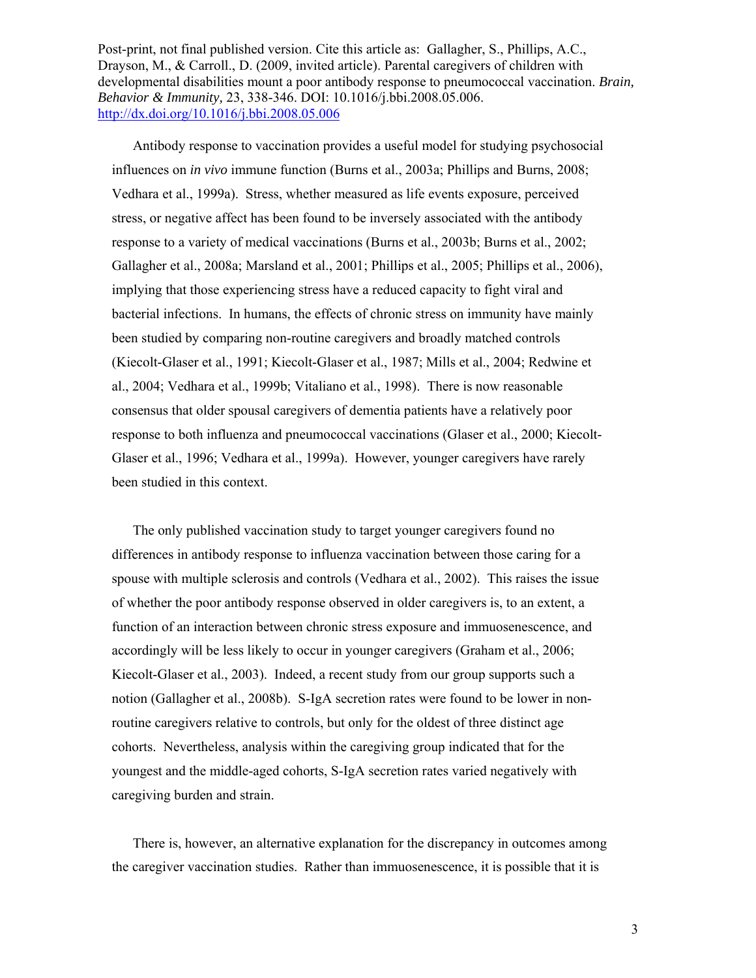Antibody response to vaccination provides a useful model for studying psychosocial influences on *in vivo* immune function (Burns et al., 2003a; Phillips and Burns, 2008; Vedhara et al., 1999a). Stress, whether measured as life events exposure, perceived stress, or negative affect has been found to be inversely associated with the antibody response to a variety of medical vaccinations (Burns et al., 2003b; Burns et al., 2002; Gallagher et al., 2008a; Marsland et al., 2001; Phillips et al., 2005; Phillips et al., 2006), implying that those experiencing stress have a reduced capacity to fight viral and bacterial infections. In humans, the effects of chronic stress on immunity have mainly been studied by comparing non-routine caregivers and broadly matched controls (Kiecolt-Glaser et al., 1991; Kiecolt-Glaser et al., 1987; Mills et al., 2004; Redwine et al., 2004; Vedhara et al., 1999b; Vitaliano et al., 1998). There is now reasonable consensus that older spousal caregivers of dementia patients have a relatively poor response to both influenza and pneumococcal vaccinations (Glaser et al., 2000; Kiecolt-Glaser et al., 1996; Vedhara et al., 1999a). However, younger caregivers have rarely been studied in this context.

 The only published vaccination study to target younger caregivers found no differences in antibody response to influenza vaccination between those caring for a spouse with multiple sclerosis and controls (Vedhara et al., 2002). This raises the issue of whether the poor antibody response observed in older caregivers is, to an extent, a function of an interaction between chronic stress exposure and immuosenescence, and accordingly will be less likely to occur in younger caregivers (Graham et al., 2006; Kiecolt-Glaser et al., 2003). Indeed, a recent study from our group supports such a notion (Gallagher et al., 2008b). S-IgA secretion rates were found to be lower in nonroutine caregivers relative to controls, but only for the oldest of three distinct age cohorts. Nevertheless, analysis within the caregiving group indicated that for the youngest and the middle-aged cohorts, S-IgA secretion rates varied negatively with caregiving burden and strain.

 There is, however, an alternative explanation for the discrepancy in outcomes among the caregiver vaccination studies. Rather than immuosenescence, it is possible that it is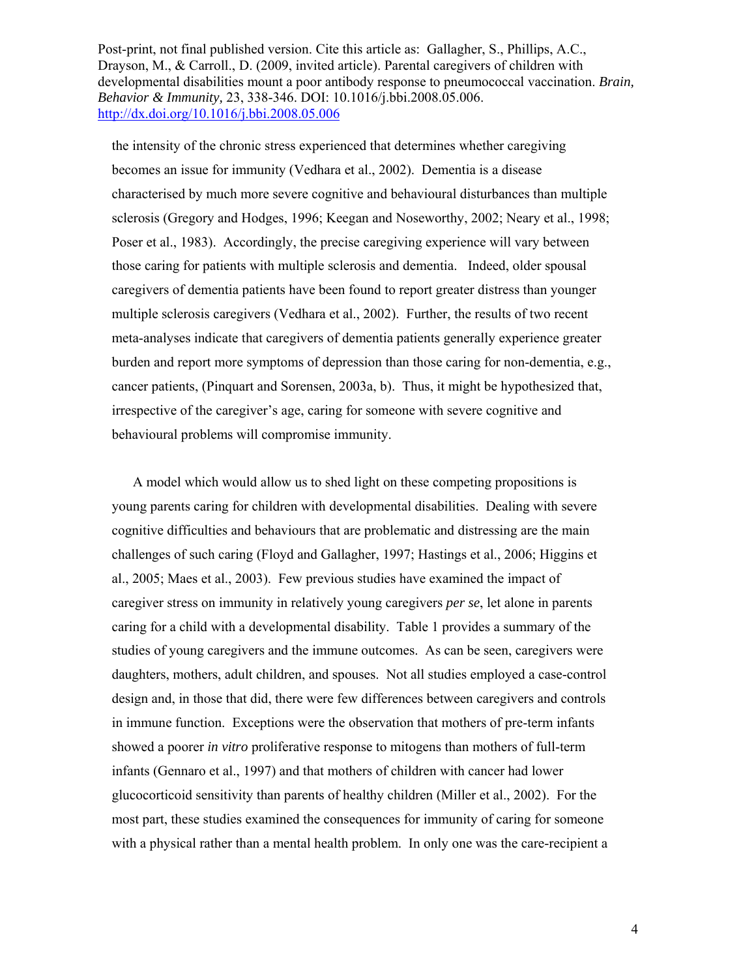the intensity of the chronic stress experienced that determines whether caregiving becomes an issue for immunity (Vedhara et al., 2002). Dementia is a disease characterised by much more severe cognitive and behavioural disturbances than multiple sclerosis (Gregory and Hodges, 1996; Keegan and Noseworthy, 2002; Neary et al., 1998; Poser et al., 1983). Accordingly, the precise caregiving experience will vary between those caring for patients with multiple sclerosis and dementia. Indeed, older spousal caregivers of dementia patients have been found to report greater distress than younger multiple sclerosis caregivers (Vedhara et al., 2002). Further, the results of two recent meta-analyses indicate that caregivers of dementia patients generally experience greater burden and report more symptoms of depression than those caring for non-dementia, e.g., cancer patients, (Pinquart and Sorensen, 2003a, b). Thus, it might be hypothesized that, irrespective of the caregiver's age, caring for someone with severe cognitive and behavioural problems will compromise immunity.

 A model which would allow us to shed light on these competing propositions is young parents caring for children with developmental disabilities. Dealing with severe cognitive difficulties and behaviours that are problematic and distressing are the main challenges of such caring (Floyd and Gallagher, 1997; Hastings et al., 2006; Higgins et al., 2005; Maes et al., 2003). Few previous studies have examined the impact of caregiver stress on immunity in relatively young caregivers *per se*, let alone in parents caring for a child with a developmental disability. Table 1 provides a summary of the studies of young caregivers and the immune outcomes. As can be seen, caregivers were daughters, mothers, adult children, and spouses. Not all studies employed a case-control design and, in those that did, there were few differences between caregivers and controls in immune function. Exceptions were the observation that mothers of pre-term infants showed a poorer *in vitro* proliferative response to mitogens than mothers of full-term infants (Gennaro et al., 1997) and that mothers of children with cancer had lower glucocorticoid sensitivity than parents of healthy children (Miller et al., 2002). For the most part, these studies examined the consequences for immunity of caring for someone with a physical rather than a mental health problem. In only one was the care-recipient a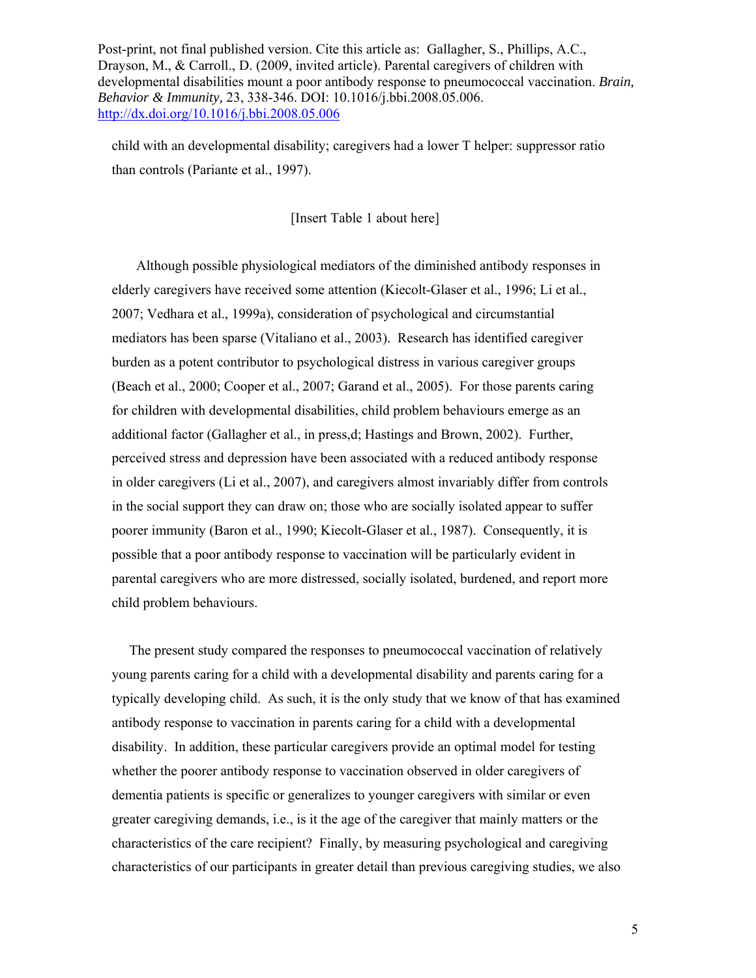child with an developmental disability; caregivers had a lower T helper: suppressor ratio than controls (Pariante et al., 1997).

[Insert Table 1 about here]

 Although possible physiological mediators of the diminished antibody responses in elderly caregivers have received some attention (Kiecolt-Glaser et al., 1996; Li et al., 2007; Vedhara et al., 1999a), consideration of psychological and circumstantial mediators has been sparse (Vitaliano et al., 2003). Research has identified caregiver burden as a potent contributor to psychological distress in various caregiver groups (Beach et al., 2000; Cooper et al., 2007; Garand et al., 2005). For those parents caring for children with developmental disabilities, child problem behaviours emerge as an additional factor (Gallagher et al., in press,d; Hastings and Brown, 2002). Further, perceived stress and depression have been associated with a reduced antibody response in older caregivers (Li et al., 2007), and caregivers almost invariably differ from controls in the social support they can draw on; those who are socially isolated appear to suffer poorer immunity (Baron et al., 1990; Kiecolt-Glaser et al., 1987). Consequently, it is possible that a poor antibody response to vaccination will be particularly evident in parental caregivers who are more distressed, socially isolated, burdened, and report more child problem behaviours.

 The present study compared the responses to pneumococcal vaccination of relatively young parents caring for a child with a developmental disability and parents caring for a typically developing child. As such, it is the only study that we know of that has examined antibody response to vaccination in parents caring for a child with a developmental disability. In addition, these particular caregivers provide an optimal model for testing whether the poorer antibody response to vaccination observed in older caregivers of dementia patients is specific or generalizes to younger caregivers with similar or even greater caregiving demands, i.e., is it the age of the caregiver that mainly matters or the characteristics of the care recipient? Finally, by measuring psychological and caregiving characteristics of our participants in greater detail than previous caregiving studies, we also

5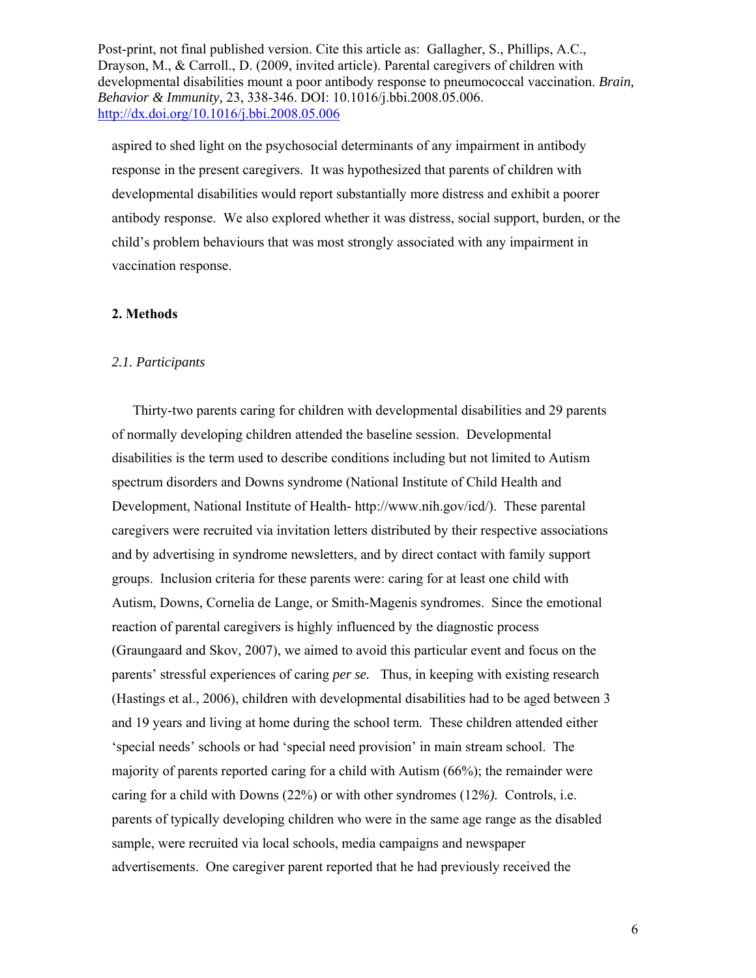aspired to shed light on the psychosocial determinants of any impairment in antibody response in the present caregivers. It was hypothesized that parents of children with developmental disabilities would report substantially more distress and exhibit a poorer antibody response. We also explored whether it was distress, social support, burden, or the child's problem behaviours that was most strongly associated with any impairment in vaccination response.

#### **2. Methods**

#### *2.1. Participants*

 Thirty-two parents caring for children with developmental disabilities and 29 parents of normally developing children attended the baseline session. Developmental disabilities is the term used to describe conditions including but not limited to Autism spectrum disorders and Downs syndrome (National Institute of Child Health and Development, National Institute of Health- http://www.nih.gov/icd/). These parental caregivers were recruited via invitation letters distributed by their respective associations and by advertising in syndrome newsletters, and by direct contact with family support groups. Inclusion criteria for these parents were: caring for at least one child with Autism, Downs, Cornelia de Lange, or Smith-Magenis syndromes. Since the emotional reaction of parental caregivers is highly influenced by the diagnostic process (Graungaard and Skov, 2007), we aimed to avoid this particular event and focus on the parents' stressful experiences of caring *per se.* Thus, in keeping with existing research (Hastings et al., 2006), children with developmental disabilities had to be aged between 3 and 19 years and living at home during the school term. These children attended either 'special needs' schools or had 'special need provision' in main stream school. The majority of parents reported caring for a child with Autism (66%); the remainder were caring for a child with Downs (22%) or with other syndromes (12*%).* Controls, i.e. parents of typically developing children who were in the same age range as the disabled sample, were recruited via local schools, media campaigns and newspaper advertisements. One caregiver parent reported that he had previously received the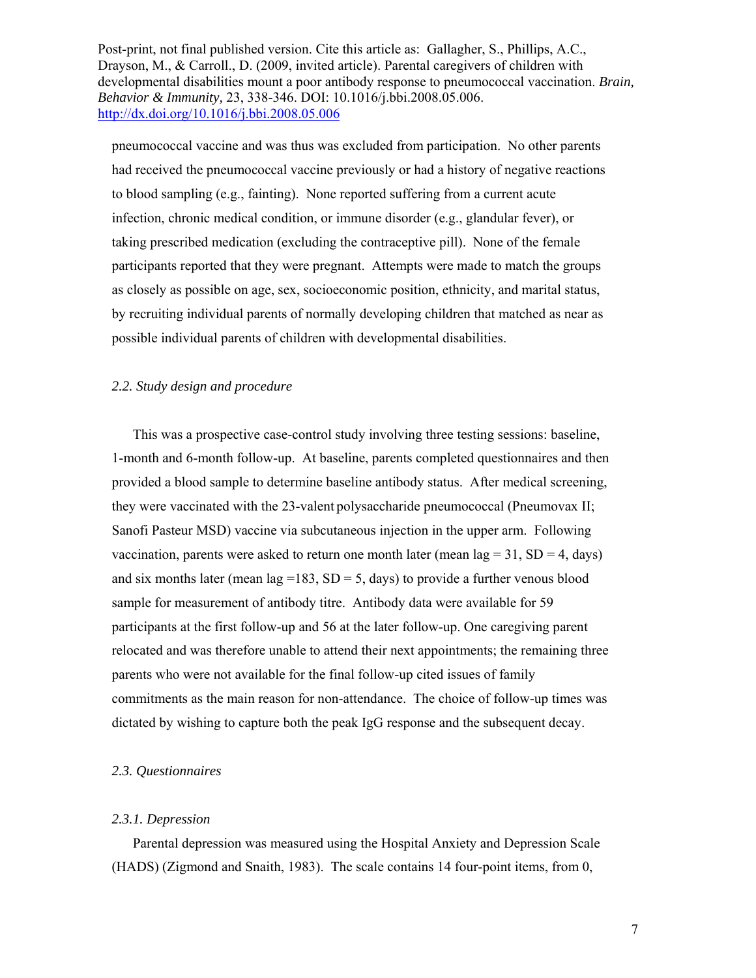pneumococcal vaccine and was thus was excluded from participation. No other parents had received the pneumococcal vaccine previously or had a history of negative reactions to blood sampling (e.g., fainting). None reported suffering from a current acute infection, chronic medical condition, or immune disorder (e.g., glandular fever), or taking prescribed medication (excluding the contraceptive pill). None of the female participants reported that they were pregnant. Attempts were made to match the groups as closely as possible on age, sex, socioeconomic position, ethnicity, and marital status, by recruiting individual parents of normally developing children that matched as near as possible individual parents of children with developmental disabilities.

### *2.2. Study design and procedure*

 This was a prospective case-control study involving three testing sessions: baseline, 1-month and 6-month follow-up. At baseline, parents completed questionnaires and then provided a blood sample to determine baseline antibody status. After medical screening, they were vaccinated with the 23-valent polysaccharide pneumococcal (Pneumovax II; Sanofi Pasteur MSD) vaccine via subcutaneous injection in the upper arm. Following vaccination, parents were asked to return one month later (mean lag = 31,  $SD = 4$ , days) and six months later (mean  $\log = 183$ , SD = 5, days) to provide a further venous blood sample for measurement of antibody titre. Antibody data were available for 59 participants at the first follow-up and 56 at the later follow-up. One caregiving parent relocated and was therefore unable to attend their next appointments; the remaining three parents who were not available for the final follow-up cited issues of family commitments as the main reason for non-attendance. The choice of follow-up times was dictated by wishing to capture both the peak IgG response and the subsequent decay.

#### *2.3. Questionnaires*

#### *2.3.1. Depression*

 Parental depression was measured using the Hospital Anxiety and Depression Scale (HADS) (Zigmond and Snaith, 1983). The scale contains 14 four-point items, from 0,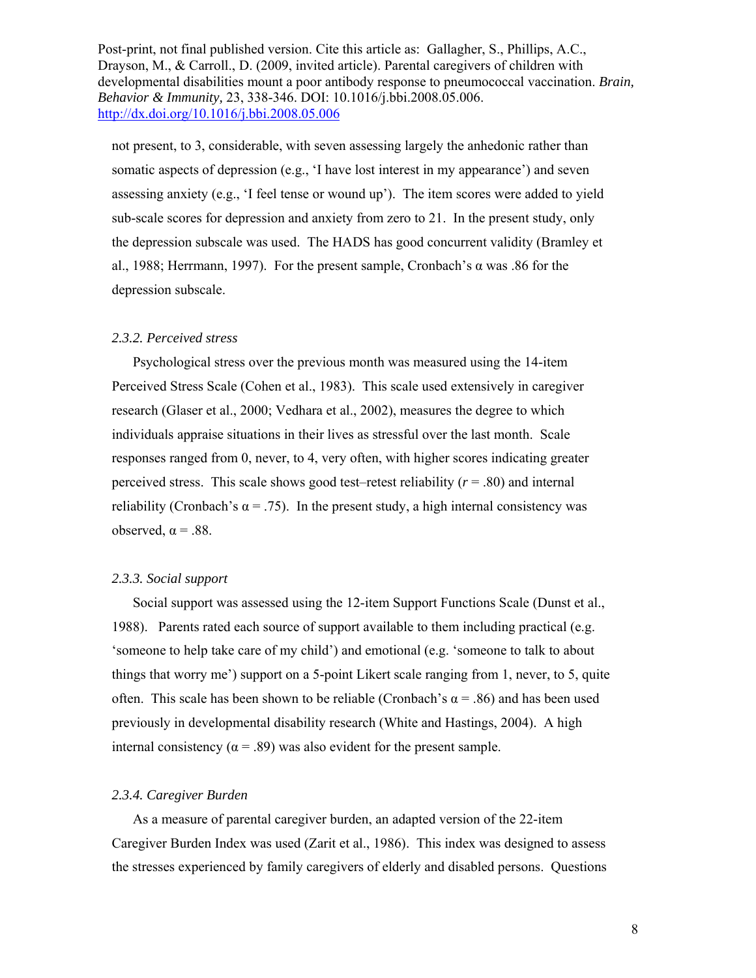not present, to 3, considerable, with seven assessing largely the anhedonic rather than somatic aspects of depression (e.g., 'I have lost interest in my appearance') and seven assessing anxiety (e.g., 'I feel tense or wound up'). The item scores were added to yield sub-scale scores for depression and anxiety from zero to 21. In the present study, only the depression subscale was used. The HADS has good concurrent validity (Bramley et al., 1988; Herrmann, 1997). For the present sample, Cronbach's α was .86 for the depression subscale.

#### *2.3.2. Perceived stress*

 Psychological stress over the previous month was measured using the 14-item Perceived Stress Scale (Cohen et al., 1983). This scale used extensively in caregiver research (Glaser et al., 2000; Vedhara et al., 2002), measures the degree to which individuals appraise situations in their lives as stressful over the last month. Scale responses ranged from 0, never, to 4, very often, with higher scores indicating greater perceived stress. This scale shows good test–retest reliability  $(r = .80)$  and internal reliability (Cronbach's  $\alpha$  = .75). In the present study, a high internal consistency was observed,  $\alpha$  = .88.

#### *2.3.3. Social support*

 Social support was assessed using the 12-item Support Functions Scale (Dunst et al., 1988). Parents rated each source of support available to them including practical (e.g. 'someone to help take care of my child') and emotional (e.g. 'someone to talk to about things that worry me') support on a 5-point Likert scale ranging from 1, never, to 5, quite often. This scale has been shown to be reliable (Cronbach's  $\alpha$  = .86) and has been used previously in developmental disability research (White and Hastings, 2004). A high internal consistency ( $\alpha$  = .89) was also evident for the present sample.

### *2.3.4. Caregiver Burden*

 As a measure of parental caregiver burden, an adapted version of the 22-item Caregiver Burden Index was used (Zarit et al., 1986). This index was designed to assess the stresses experienced by family caregivers of elderly and disabled persons. Questions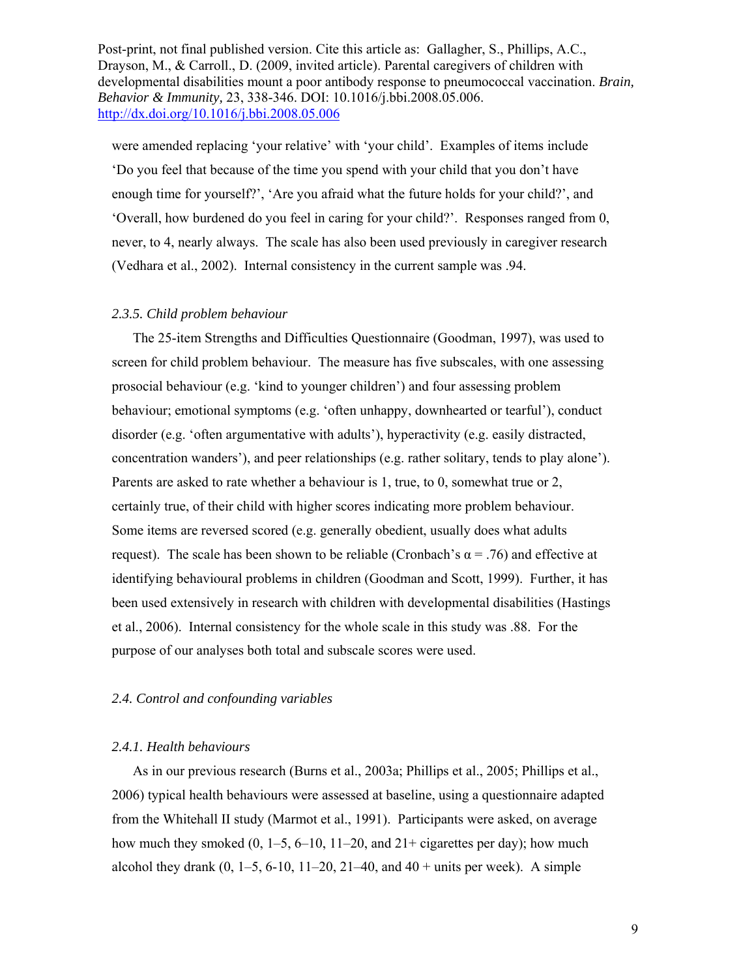were amended replacing 'your relative' with 'your child'. Examples of items include 'Do you feel that because of the time you spend with your child that you don't have enough time for yourself?', 'Are you afraid what the future holds for your child?', and 'Overall, how burdened do you feel in caring for your child?'. Responses ranged from 0, never, to 4, nearly always. The scale has also been used previously in caregiver research (Vedhara et al., 2002). Internal consistency in the current sample was .94.

#### *2.3.5. Child problem behaviour*

 The 25-item Strengths and Difficulties Questionnaire (Goodman, 1997), was used to screen for child problem behaviour. The measure has five subscales, with one assessing prosocial behaviour (e.g. 'kind to younger children') and four assessing problem behaviour; emotional symptoms (e.g. 'often unhappy, downhearted or tearful'), conduct disorder (e.g. 'often argumentative with adults'), hyperactivity (e.g. easily distracted, concentration wanders'), and peer relationships (e.g. rather solitary, tends to play alone'). Parents are asked to rate whether a behaviour is 1, true, to 0, somewhat true or 2, certainly true, of their child with higher scores indicating more problem behaviour. Some items are reversed scored (e.g. generally obedient, usually does what adults request). The scale has been shown to be reliable (Cronbach's  $\alpha$  = .76) and effective at identifying behavioural problems in children (Goodman and Scott, 1999). Further, it has been used extensively in research with children with developmental disabilities (Hastings et al., 2006). Internal consistency for the whole scale in this study was .88. For the purpose of our analyses both total and subscale scores were used.

### *2.4. Control and confounding variables*

#### *2.4.1. Health behaviours*

 As in our previous research (Burns et al., 2003a; Phillips et al., 2005; Phillips et al., 2006) typical health behaviours were assessed at baseline, using a questionnaire adapted from the Whitehall II study (Marmot et al., 1991). Participants were asked, on average how much they smoked  $(0, 1-5, 6-10, 11-20,$  and  $21+$  cigarettes per day); how much alcohol they drank  $(0, 1-5, 6-10, 11-20, 21-40,$  and  $40 + \text{units per week})$ . A simple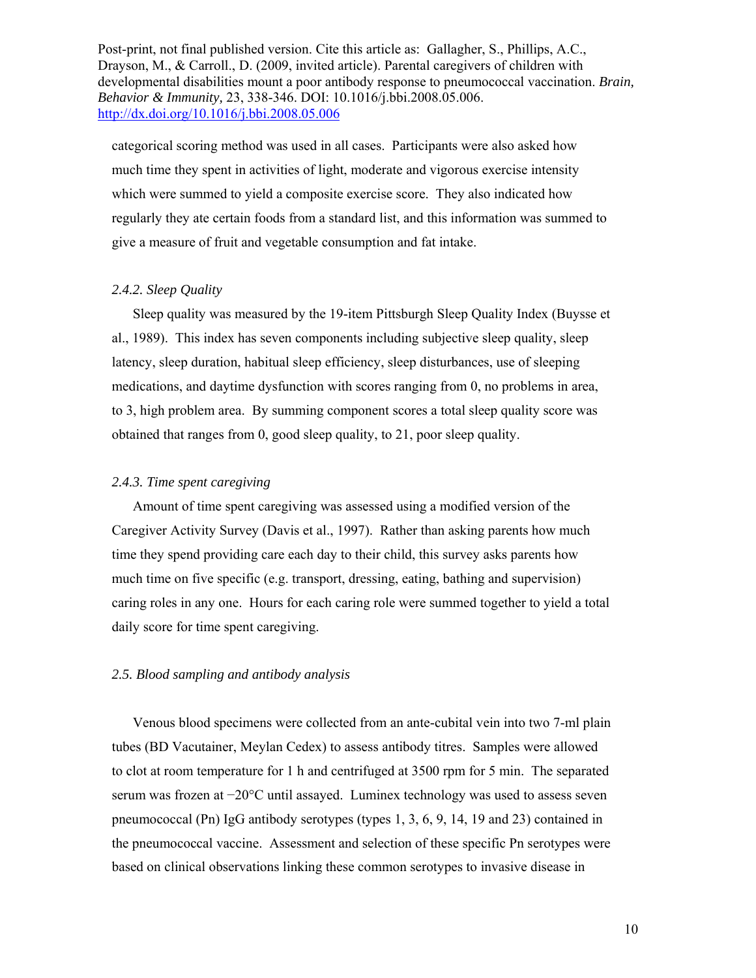categorical scoring method was used in all cases. Participants were also asked how much time they spent in activities of light, moderate and vigorous exercise intensity which were summed to yield a composite exercise score. They also indicated how regularly they ate certain foods from a standard list, and this information was summed to give a measure of fruit and vegetable consumption and fat intake.

#### *2.4.2. Sleep Quality*

 Sleep quality was measured by the 19-item Pittsburgh Sleep Quality Index (Buysse et al., 1989). This index has seven components including subjective sleep quality, sleep latency, sleep duration, habitual sleep efficiency, sleep disturbances, use of sleeping medications, and daytime dysfunction with scores ranging from 0, no problems in area, to 3, high problem area. By summing component scores a total sleep quality score was obtained that ranges from 0, good sleep quality, to 21, poor sleep quality.

#### *2.4.3. Time spent caregiving*

 Amount of time spent caregiving was assessed using a modified version of the Caregiver Activity Survey (Davis et al., 1997). Rather than asking parents how much time they spend providing care each day to their child, this survey asks parents how much time on five specific (e.g. transport, dressing, eating, bathing and supervision) caring roles in any one. Hours for each caring role were summed together to yield a total daily score for time spent caregiving.

#### *2.5. Blood sampling and antibody analysis*

Venous blood specimens were collected from an ante-cubital vein into two 7-ml plain tubes (BD Vacutainer, Meylan Cedex) to assess antibody titres. Samples were allowed to clot at room temperature for 1 h and centrifuged at 3500 rpm for 5 min. The separated serum was frozen at −20°C until assayed. Luminex technology was used to assess seven pneumococcal (Pn) IgG antibody serotypes (types 1, 3, 6, 9, 14, 19 and 23) contained in the pneumococcal vaccine. Assessment and selection of these specific Pn serotypes were based on clinical observations linking these common serotypes to invasive disease in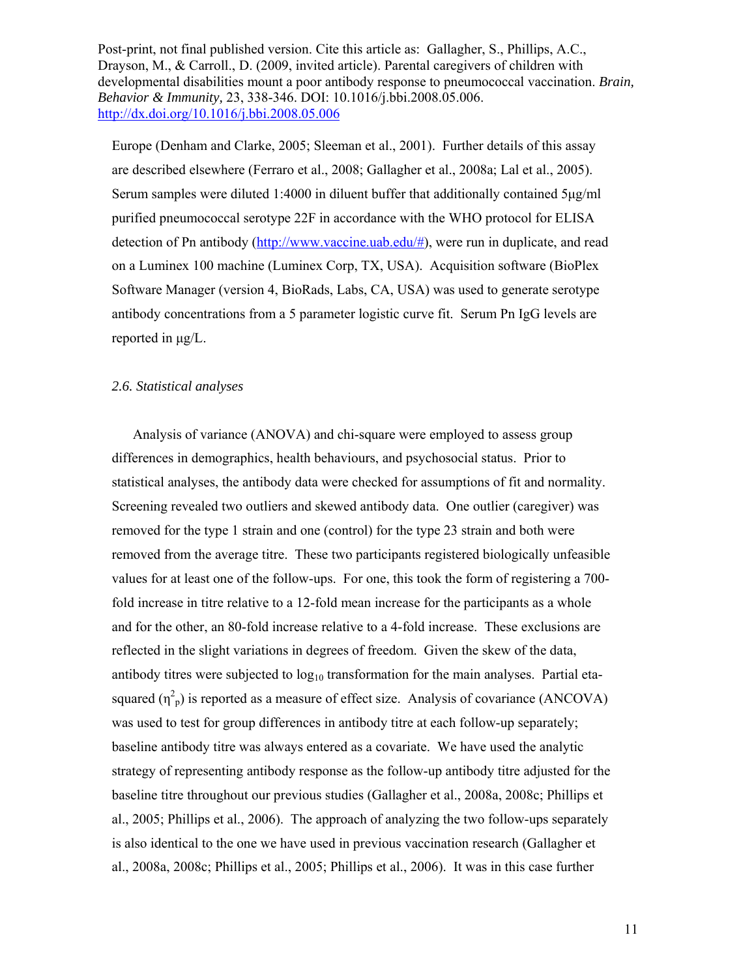Europe (Denham and Clarke, 2005; Sleeman et al., 2001). Further details of this assay are described elsewhere (Ferraro et al., 2008; Gallagher et al., 2008a; Lal et al., 2005). Serum samples were diluted 1:4000 in diluent buffer that additionally contained 5μg/ml purified pneumococcal serotype 22F in accordance with the WHO protocol for ELISA detection of Pn antibody  $(\frac{http://www.vaccine.uab.edu/\#)}{http://www.vaccine.uab.edu/\#)}$ , were run in duplicate, and read on a Luminex 100 machine (Luminex Corp, TX, USA). Acquisition software (BioPlex Software Manager (version 4, BioRads, Labs, CA, USA) was used to generate serotype antibody concentrations from a 5 parameter logistic curve fit. Serum Pn IgG levels are reported in μg/L.

### *2.6. Statistical analyses*

 Analysis of variance (ANOVA) and chi-square were employed to assess group differences in demographics, health behaviours, and psychosocial status. Prior to statistical analyses, the antibody data were checked for assumptions of fit and normality. Screening revealed two outliers and skewed antibody data. One outlier (caregiver) was removed for the type 1 strain and one (control) for the type 23 strain and both were removed from the average titre. These two participants registered biologically unfeasible values for at least one of the follow-ups. For one, this took the form of registering a 700 fold increase in titre relative to a 12-fold mean increase for the participants as a whole and for the other, an 80-fold increase relative to a 4-fold increase. These exclusions are reflected in the slight variations in degrees of freedom. Given the skew of the data, antibody titres were subjected to  $log_{10}$  transformation for the main analyses. Partial etasquared  $(\eta^2_p)$  is reported as a measure of effect size. Analysis of covariance (ANCOVA) was used to test for group differences in antibody titre at each follow-up separately; baseline antibody titre was always entered as a covariate. We have used the analytic strategy of representing antibody response as the follow-up antibody titre adjusted for the baseline titre throughout our previous studies (Gallagher et al., 2008a, 2008c; Phillips et al., 2005; Phillips et al., 2006). The approach of analyzing the two follow-ups separately is also identical to the one we have used in previous vaccination research (Gallagher et al., 2008a, 2008c; Phillips et al., 2005; Phillips et al., 2006). It was in this case further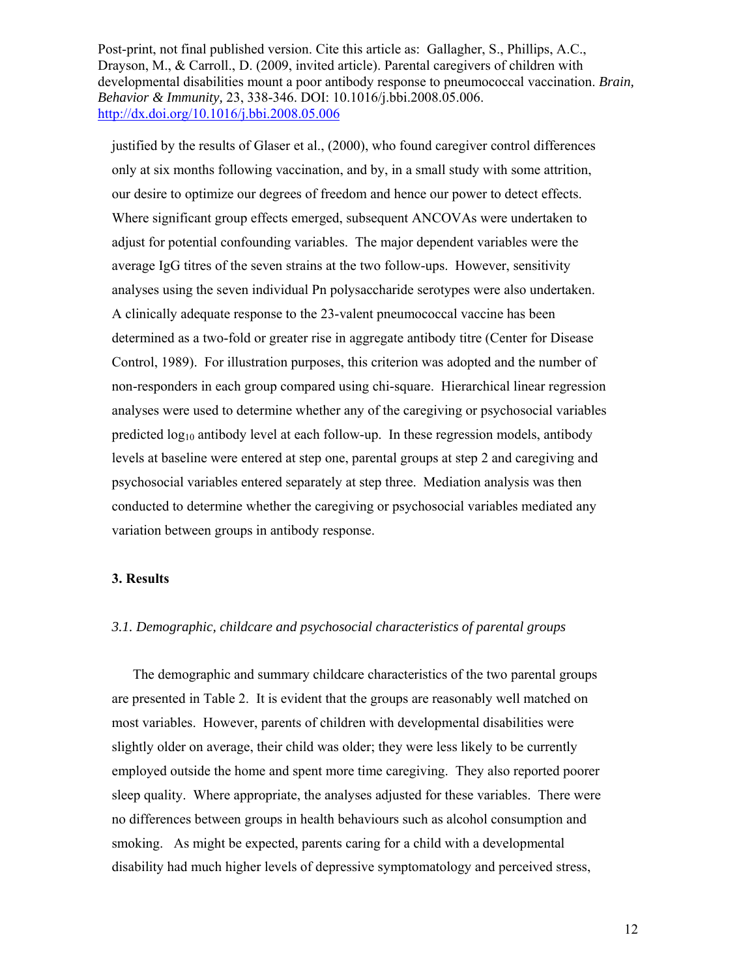justified by the results of Glaser et al., (2000), who found caregiver control differences only at six months following vaccination, and by, in a small study with some attrition, our desire to optimize our degrees of freedom and hence our power to detect effects. Where significant group effects emerged, subsequent ANCOVAs were undertaken to adjust for potential confounding variables. The major dependent variables were the average IgG titres of the seven strains at the two follow-ups. However, sensitivity analyses using the seven individual Pn polysaccharide serotypes were also undertaken. A clinically adequate response to the 23-valent pneumococcal vaccine has been determined as a two-fold or greater rise in aggregate antibody titre (Center for Disease Control, 1989). For illustration purposes, this criterion was adopted and the number of non-responders in each group compared using chi-square. Hierarchical linear regression analyses were used to determine whether any of the caregiving or psychosocial variables predicted log<sub>10</sub> antibody level at each follow-up. In these regression models, antibody levels at baseline were entered at step one, parental groups at step 2 and caregiving and psychosocial variables entered separately at step three. Mediation analysis was then conducted to determine whether the caregiving or psychosocial variables mediated any variation between groups in antibody response.

#### **3. Results**

#### *3.1. Demographic, childcare and psychosocial characteristics of parental groups*

 The demographic and summary childcare characteristics of the two parental groups are presented in Table 2. It is evident that the groups are reasonably well matched on most variables. However, parents of children with developmental disabilities were slightly older on average, their child was older; they were less likely to be currently employed outside the home and spent more time caregiving. They also reported poorer sleep quality. Where appropriate, the analyses adjusted for these variables. There were no differences between groups in health behaviours such as alcohol consumption and smoking. As might be expected, parents caring for a child with a developmental disability had much higher levels of depressive symptomatology and perceived stress,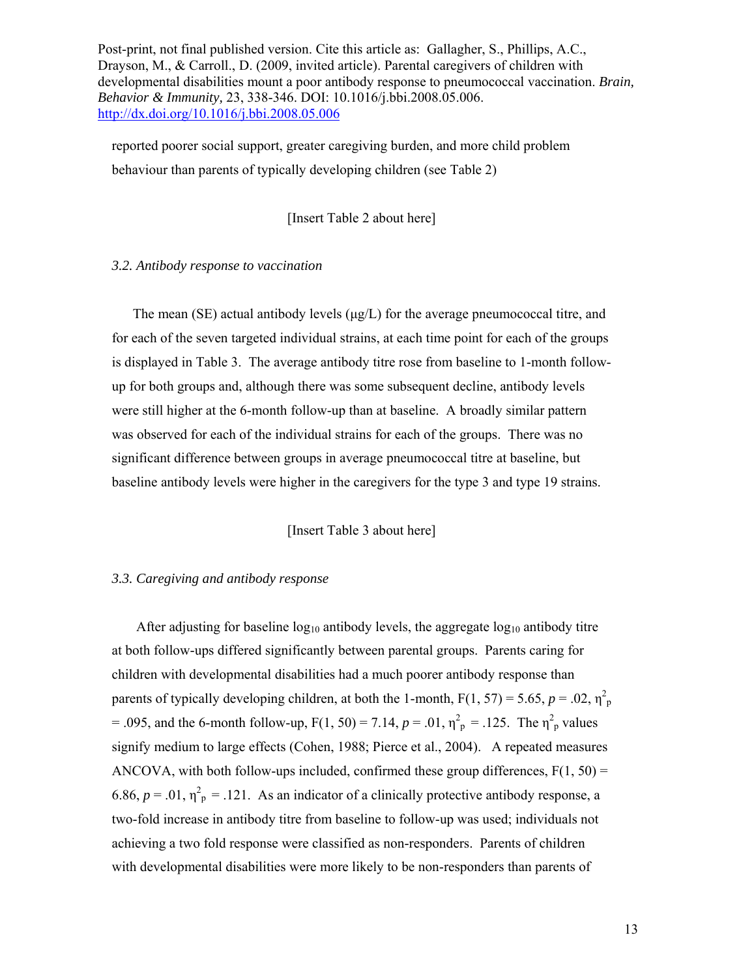reported poorer social support, greater caregiving burden, and more child problem behaviour than parents of typically developing children (see Table 2)

[Insert Table 2 about here]

#### *3.2. Antibody response to vaccination*

The mean (SE) actual antibody levels  $(\mu g/L)$  for the average pneumococcal titre, and for each of the seven targeted individual strains, at each time point for each of the groups is displayed in Table 3. The average antibody titre rose from baseline to 1-month followup for both groups and, although there was some subsequent decline, antibody levels were still higher at the 6-month follow-up than at baseline. A broadly similar pattern was observed for each of the individual strains for each of the groups. There was no significant difference between groups in average pneumococcal titre at baseline, but baseline antibody levels were higher in the caregivers for the type 3 and type 19 strains.

[Insert Table 3 about here]

#### *3.3. Caregiving and antibody response*

After adjusting for baseline  $log_{10}$  antibody levels, the aggregate  $log_{10}$  antibody titre at both follow-ups differed significantly between parental groups.Parents caring for children with developmental disabilities had a much poorer antibody response than parents of typically developing children, at both the 1-month,  $F(1, 57) = 5.65$ ,  $p = .02$ ,  $\eta_p^2$ = .095, and the 6-month follow-up,  $F(1, 50) = 7.14$ ,  $p = .01$ ,  $\eta_p^2 = .125$ . The  $\eta_p^2$  values signify medium to large effects (Cohen, 1988; Pierce et al., 2004). A repeated measures ANCOVA, with both follow-ups included, confirmed these group differences,  $F(1, 50) =$ 6.86,  $p = .01$ ,  $\eta_p^2 = .121$ . As an indicator of a clinically protective antibody response, a two-fold increase in antibody titre from baseline to follow-up was used; individuals not achieving a two fold response were classified as non-responders. Parents of children with developmental disabilities were more likely to be non-responders than parents of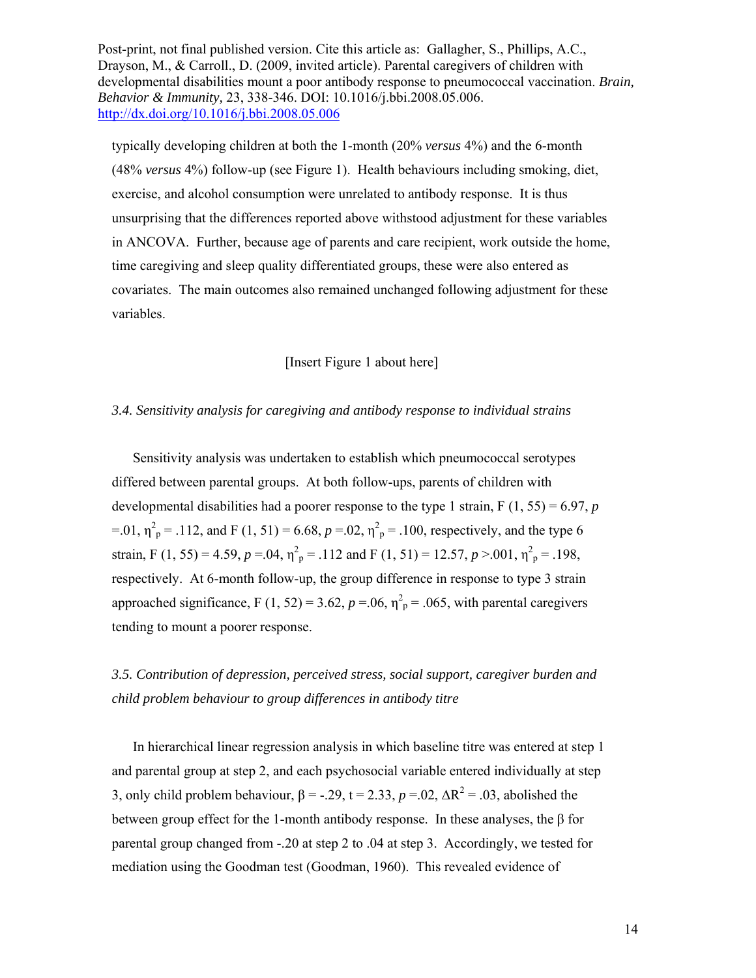typically developing children at both the 1-month (20% *versus* 4%) and the 6-month (48% *versus* 4%) follow-up (see Figure 1). Health behaviours including smoking, diet, exercise, and alcohol consumption were unrelated to antibody response. It is thus unsurprising that the differences reported above withstood adjustment for these variables in ANCOVA. Further, because age of parents and care recipient, work outside the home, time caregiving and sleep quality differentiated groups, these were also entered as covariates. The main outcomes also remained unchanged following adjustment for these variables.

### [Insert Figure 1 about here]

#### *3.4. Sensitivity analysis for caregiving and antibody response to individual strains*

 Sensitivity analysis was undertaken to establish which pneumococcal serotypes differed between parental groups. At both follow-ups, parents of children with developmental disabilities had a poorer response to the type 1 strain,  $F(1, 55) = 6.97$ , *p* =.01,  $\eta_{p}^{2}$  = .112, and F (1, 51) = 6.68,  $p = 0.02$ ,  $\eta_{p}^{2}$  = .100, respectively, and the type 6 strain, F (1, 55) = 4.59,  $p = .04$ ,  $\eta_p^2 = .112$  and F (1, 51) = 12.57,  $p > .001$ ,  $\eta_p^2 = .198$ , respectively. At 6-month follow-up, the group difference in response to type 3 strain approached significance, F (1, 52) = 3.62,  $p = 0.06$ ,  $\eta_p^2 = 0.065$ , with parental caregivers tending to mount a poorer response.

*3.5. Contribution of depression, perceived stress, social support, caregiver burden and child problem behaviour to group differences in antibody titre* 

 In hierarchical linear regression analysis in which baseline titre was entered at step 1 and parental group at step 2, and each psychosocial variable entered individually at step 3, only child problem behaviour,  $\beta = -.29$ ,  $t = 2.33$ ,  $p = .02$ ,  $\Delta R^2 = .03$ , abolished the between group effect for the 1-month antibody response. In these analyses, the β for parental group changed from -.20 at step 2 to .04 at step 3. Accordingly, we tested for mediation using the Goodman test (Goodman, 1960). This revealed evidence of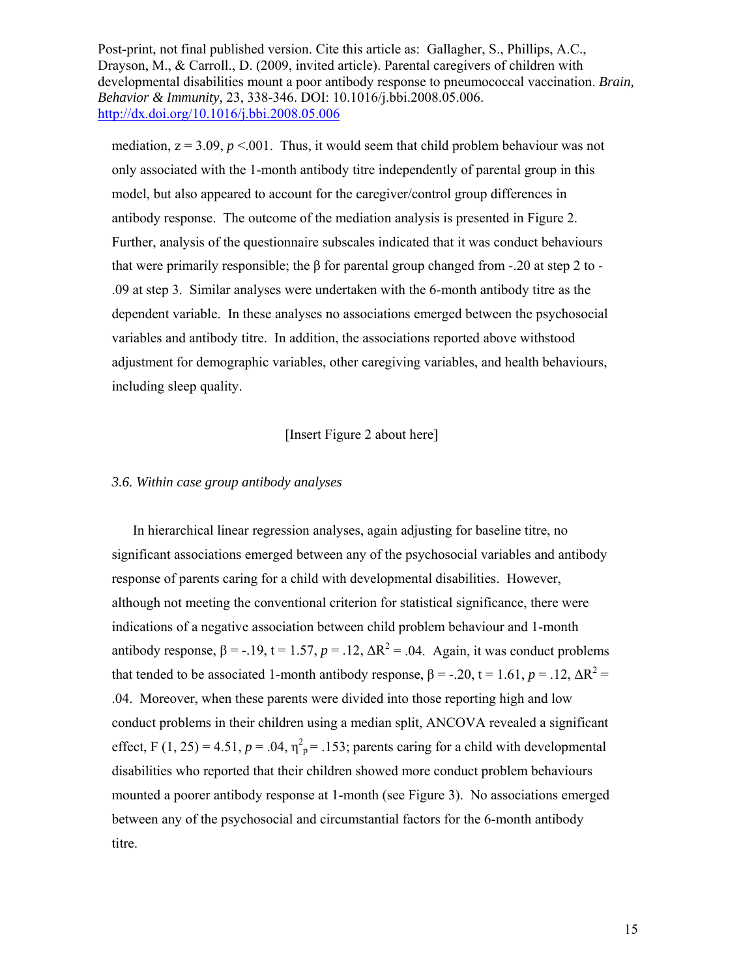mediation,  $z = 3.09$ ,  $p < 0.001$ . Thus, it would seem that child problem behaviour was not only associated with the 1-month antibody titre independently of parental group in this model, but also appeared to account for the caregiver/control group differences in antibody response. The outcome of the mediation analysis is presented in Figure 2. Further, analysis of the questionnaire subscales indicated that it was conduct behaviours that were primarily responsible; the β for parental group changed from  $-.20$  at step 2 to -.09 at step 3. Similar analyses were undertaken with the 6-month antibody titre as the dependent variable. In these analyses no associations emerged between the psychosocial variables and antibody titre. In addition, the associations reported above withstood adjustment for demographic variables, other caregiving variables, and health behaviours, including sleep quality.

## [Insert Figure 2 about here]

#### *3.6. Within case group antibody analyses*

 In hierarchical linear regression analyses, again adjusting for baseline titre, no significant associations emerged between any of the psychosocial variables and antibody response of parents caring for a child with developmental disabilities. However, although not meeting the conventional criterion for statistical significance, there were indications of a negative association between child problem behaviour and 1-month antibody response,  $\beta = -.19$ ,  $t = 1.57$ ,  $p = .12$ ,  $\Delta R^2 = .04$ . Again, it was conduct problems that tended to be associated 1-month antibody response,  $\beta = -.20$ ,  $t = 1.61$ ,  $p = .12$ ,  $\Delta R^2 =$ .04. Moreover, when these parents were divided into those reporting high and low conduct problems in their children using a median split, ANCOVA revealed a significant effect, F (1, 25) = 4.51,  $p = .04$ ,  $\eta^2$ <sub>p</sub> = .153; parents caring for a child with developmental disabilities who reported that their children showed more conduct problem behaviours mounted a poorer antibody response at 1-month (see Figure 3). No associations emerged between any of the psychosocial and circumstantial factors for the 6-month antibody titre.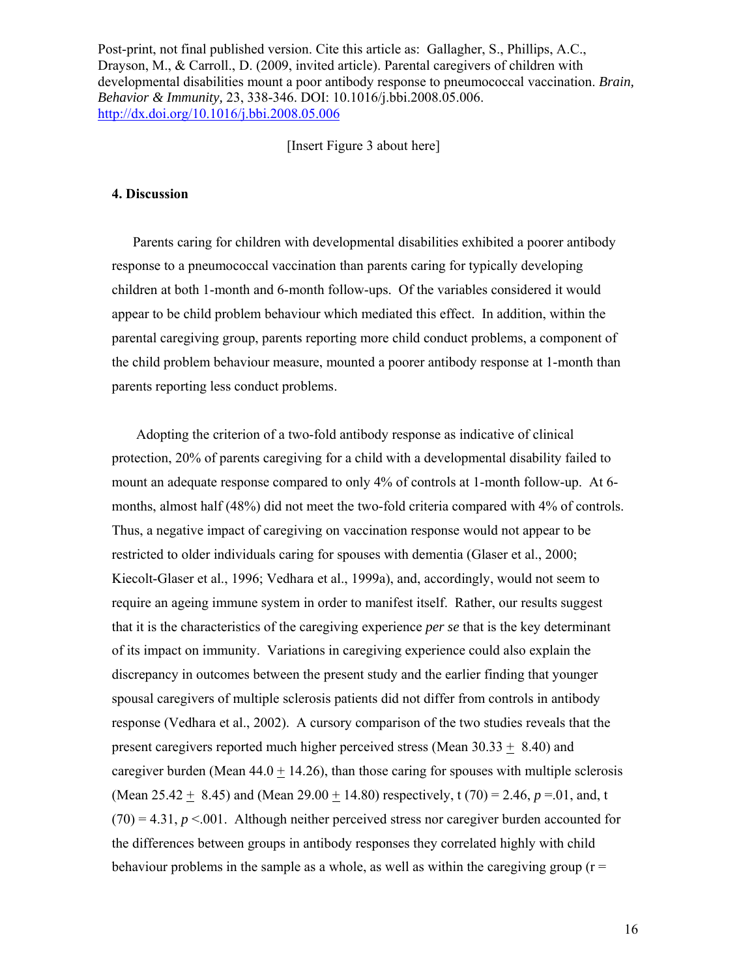[Insert Figure 3 about here]

#### **4. Discussion**

 Parents caring for children with developmental disabilities exhibited a poorer antibody response to a pneumococcal vaccination than parents caring for typically developing children at both 1-month and 6-month follow-ups. Of the variables considered it would appear to be child problem behaviour which mediated this effect. In addition, within the parental caregiving group, parents reporting more child conduct problems, a component of the child problem behaviour measure, mounted a poorer antibody response at 1-month than parents reporting less conduct problems.

 Adopting the criterion of a two-fold antibody response as indicative of clinical protection, 20% of parents caregiving for a child with a developmental disability failed to mount an adequate response compared to only 4% of controls at 1-month follow-up. At 6 months, almost half (48%) did not meet the two-fold criteria compared with 4% of controls. Thus, a negative impact of caregiving on vaccination response would not appear to be restricted to older individuals caring for spouses with dementia (Glaser et al., 2000; Kiecolt-Glaser et al., 1996; Vedhara et al., 1999a), and, accordingly, would not seem to require an ageing immune system in order to manifest itself. Rather, our results suggest that it is the characteristics of the caregiving experience *per se* that is the key determinant of its impact on immunity. Variations in caregiving experience could also explain the discrepancy in outcomes between the present study and the earlier finding that younger spousal caregivers of multiple sclerosis patients did not differ from controls in antibody response (Vedhara et al., 2002). A cursory comparison of the two studies reveals that the present caregivers reported much higher perceived stress (Mean  $30.33 + 8.40$ ) and caregiver burden (Mean  $44.0 + 14.26$ ), than those caring for spouses with multiple sclerosis (Mean 25.42 + 8.45) and (Mean 29.00 + 14.80) respectively, t (70) = 2.46,  $p = 0.01$ , and, t  $(70) = 4.31, p < 0.001$ . Although neither perceived stress nor caregiver burden accounted for the differences between groups in antibody responses they correlated highly with child behaviour problems in the sample as a whole, as well as within the caregiving group ( $r =$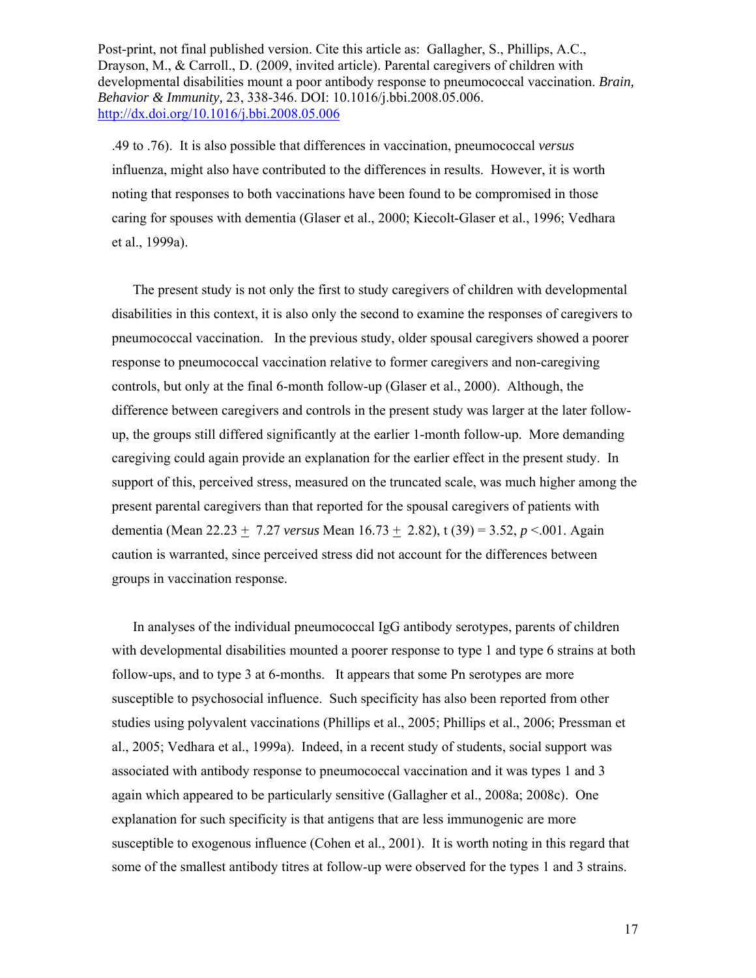.49 to .76). It is also possible that differences in vaccination, pneumococcal *versus* influenza, might also have contributed to the differences in results. However, it is worth noting that responses to both vaccinations have been found to be compromised in those caring for spouses with dementia (Glaser et al., 2000; Kiecolt-Glaser et al., 1996; Vedhara et al., 1999a).

 The present study is not only the first to study caregivers of children with developmental disabilities in this context, it is also only the second to examine the responses of caregivers to pneumococcal vaccination. In the previous study, older spousal caregivers showed a poorer response to pneumococcal vaccination relative to former caregivers and non-caregiving controls, but only at the final 6-month follow-up (Glaser et al., 2000). Although, the difference between caregivers and controls in the present study was larger at the later followup, the groups still differed significantly at the earlier 1-month follow-up. More demanding caregiving could again provide an explanation for the earlier effect in the present study. In support of this, perceived stress, measured on the truncated scale, was much higher among the present parental caregivers than that reported for the spousal caregivers of patients with dementia (Mean 22.23 + 7.27 *versus* Mean 16.73 + 2.82), t (39) = 3.52, *p* <.001. Again caution is warranted, since perceived stress did not account for the differences between groups in vaccination response.

 In analyses of the individual pneumococcal IgG antibody serotypes, parents of children with developmental disabilities mounted a poorer response to type 1 and type 6 strains at both follow-ups, and to type 3 at 6-months. It appears that some Pn serotypes are more susceptible to psychosocial influence. Such specificity has also been reported from other studies using polyvalent vaccinations (Phillips et al., 2005; Phillips et al., 2006; Pressman et al., 2005; Vedhara et al., 1999a). Indeed, in a recent study of students, social support was associated with antibody response to pneumococcal vaccination and it was types 1 and 3 again which appeared to be particularly sensitive (Gallagher et al., 2008a; 2008c). One explanation for such specificity is that antigens that are less immunogenic are more susceptible to exogenous influence (Cohen et al., 2001). It is worth noting in this regard that some of the smallest antibody titres at follow-up were observed for the types 1 and 3 strains.

17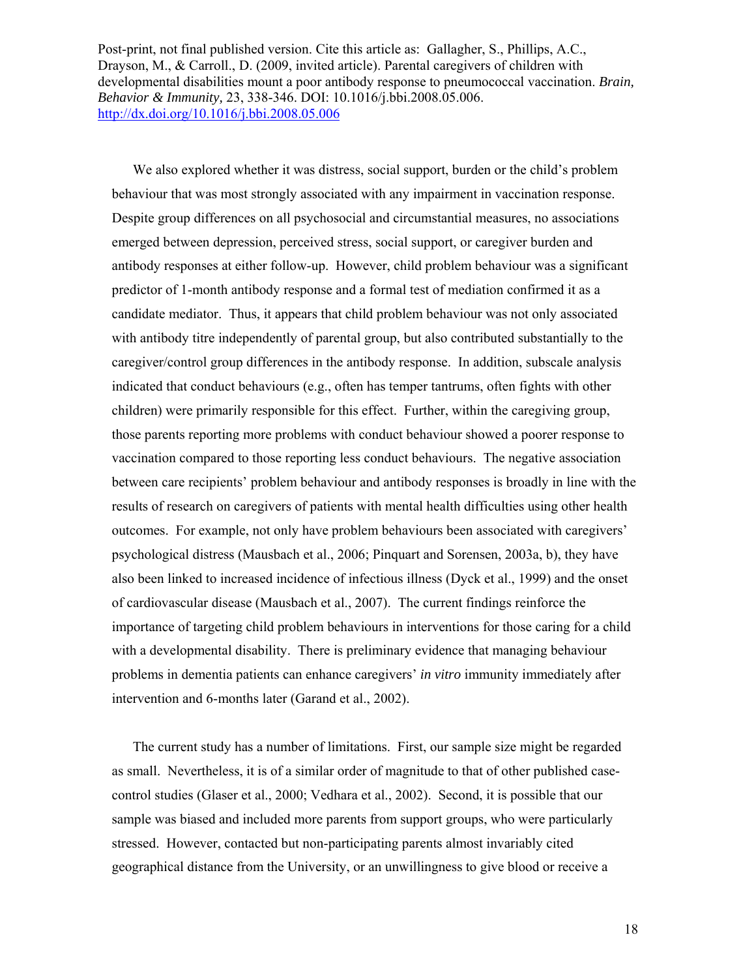We also explored whether it was distress, social support, burden or the child's problem behaviour that was most strongly associated with any impairment in vaccination response. Despite group differences on all psychosocial and circumstantial measures, no associations emerged between depression, perceived stress, social support, or caregiver burden and antibody responses at either follow-up. However, child problem behaviour was a significant predictor of 1-month antibody response and a formal test of mediation confirmed it as a candidate mediator. Thus, it appears that child problem behaviour was not only associated with antibody titre independently of parental group, but also contributed substantially to the caregiver/control group differences in the antibody response. In addition, subscale analysis indicated that conduct behaviours (e.g., often has temper tantrums, often fights with other children) were primarily responsible for this effect. Further, within the caregiving group, those parents reporting more problems with conduct behaviour showed a poorer response to vaccination compared to those reporting less conduct behaviours. The negative association between care recipients' problem behaviour and antibody responses is broadly in line with the results of research on caregivers of patients with mental health difficulties using other health outcomes. For example, not only have problem behaviours been associated with caregivers' psychological distress (Mausbach et al., 2006; Pinquart and Sorensen, 2003a, b), they have also been linked to increased incidence of infectious illness (Dyck et al., 1999) and the onset of cardiovascular disease (Mausbach et al., 2007). The current findings reinforce the importance of targeting child problem behaviours in interventions for those caring for a child with a developmental disability. There is preliminary evidence that managing behaviour problems in dementia patients can enhance caregivers' *in vitro* immunity immediately after intervention and 6-months later (Garand et al., 2002).

 The current study has a number of limitations. First, our sample size might be regarded as small. Nevertheless, it is of a similar order of magnitude to that of other published casecontrol studies (Glaser et al., 2000; Vedhara et al., 2002). Second, it is possible that our sample was biased and included more parents from support groups, who were particularly stressed. However, contacted but non-participating parents almost invariably cited geographical distance from the University, or an unwillingness to give blood or receive a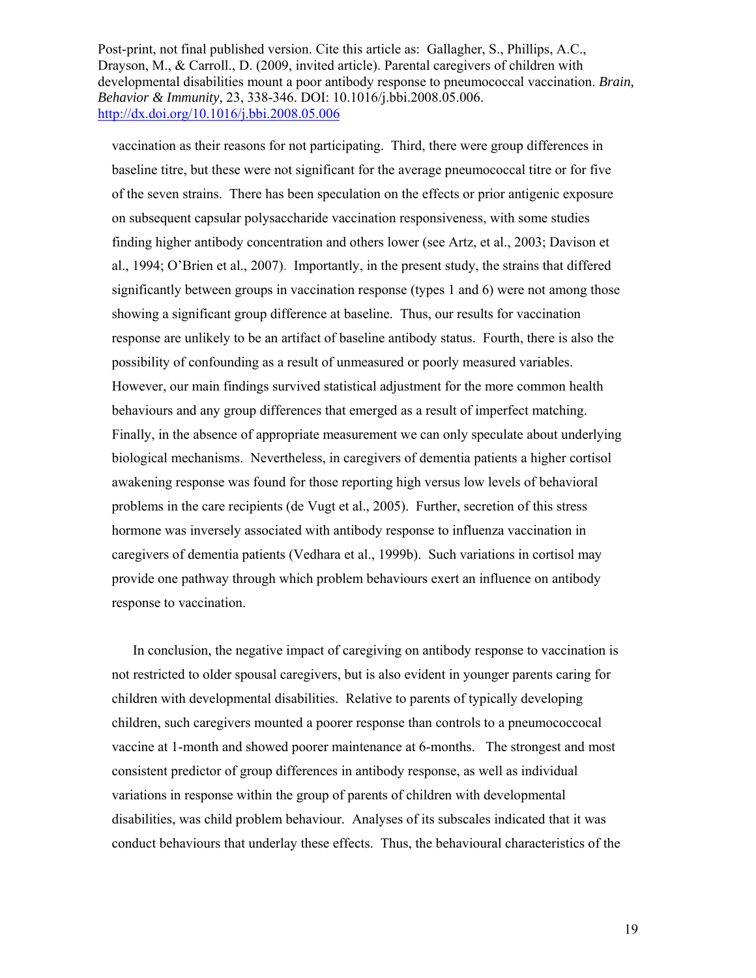vaccination as their reasons for not participating. Third, there were group differences in baseline titre, but these were not significant for the average pneumococcal titre or for five of the seven strains. There has been speculation on the effects or prior antigenic exposure on subsequent capsular polysaccharide vaccination responsiveness, with some studies finding higher antibody concentration and others lower (see Artz, et al., 2003; Davison et al., 1994; O'Brien et al., 2007). Importantly, in the present study, the strains that differed significantly between groups in vaccination response (types 1 and 6) were not among those showing a significant group difference at baseline. Thus, our results for vaccination response are unlikely to be an artifact of baseline antibody status. Fourth, there is also the possibility of confounding as a result of unmeasured or poorly measured variables. However, our main findings survived statistical adjustment for the more common health behaviours and any group differences that emerged as a result of imperfect matching. Finally, in the absence of appropriate measurement we can only speculate about underlying biological mechanisms. Nevertheless, in caregivers of dementia patients a higher cortisol awakening response was found for those reporting high versus low levels of behavioral problems in the care recipients (de Vugt et al., 2005). Further, secretion of this stress hormone was inversely associated with antibody response to influenza vaccination in caregivers of dementia patients (Vedhara et al., 1999b). Such variations in cortisol may provide one pathway through which problem behaviours exert an influence on antibody response to vaccination.

 In conclusion, the negative impact of caregiving on antibody response to vaccination is not restricted to older spousal caregivers, but is also evident in younger parents caring for children with developmental disabilities. Relative to parents of typically developing children, such caregivers mounted a poorer response than controls to a pneumococcocal vaccine at 1-month and showed poorer maintenance at 6-months. The strongest and most consistent predictor of group differences in antibody response, as well as individual variations in response within the group of parents of children with developmental disabilities, was child problem behaviour. Analyses of its subscales indicated that it was conduct behaviours that underlay these effects. Thus, the behavioural characteristics of the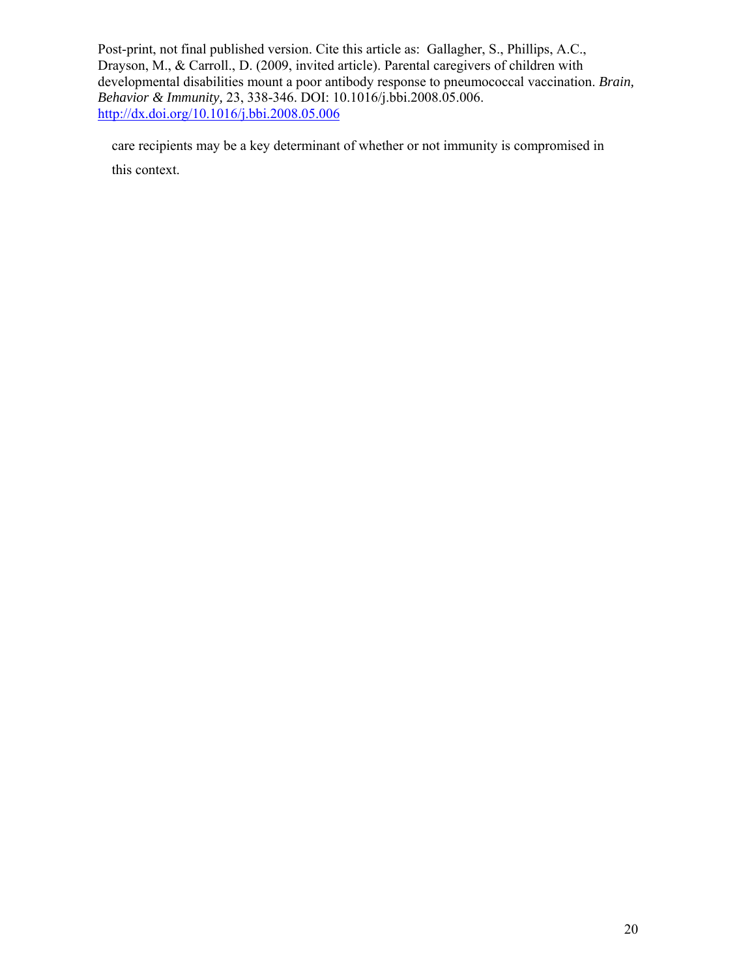care recipients may be a key determinant of whether or not immunity is compromised in this context.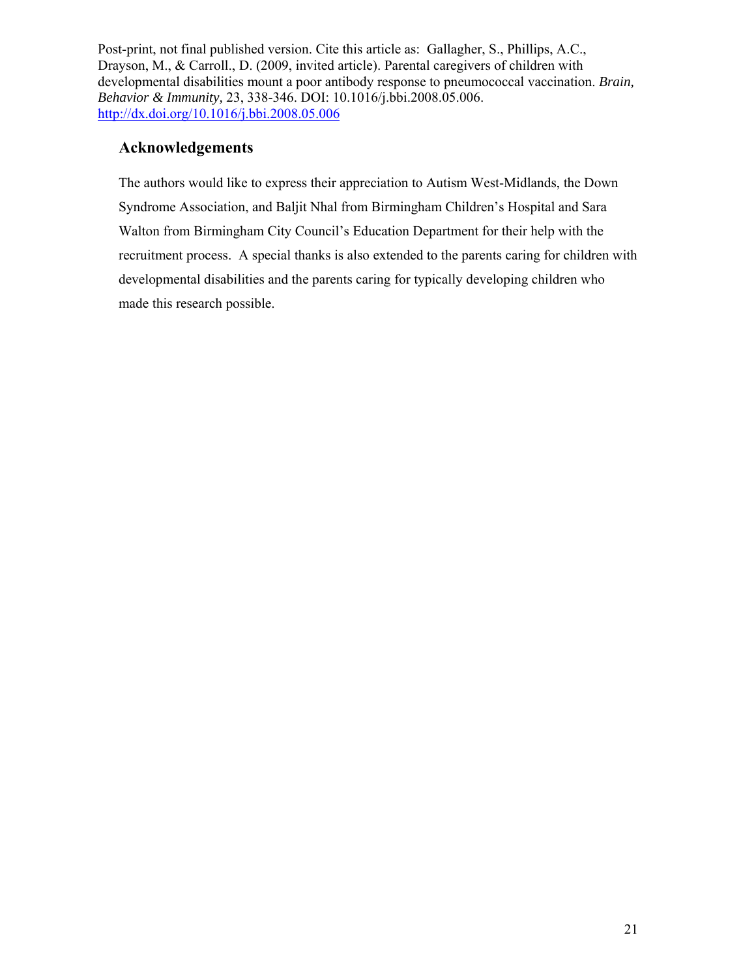# **Acknowledgements**

The authors would like to express their appreciation to Autism West-Midlands, the Down Syndrome Association, and Baljit Nhal from Birmingham Children's Hospital and Sara Walton from Birmingham City Council's Education Department for their help with the recruitment process. A special thanks is also extended to the parents caring for children with developmental disabilities and the parents caring for typically developing children who made this research possible.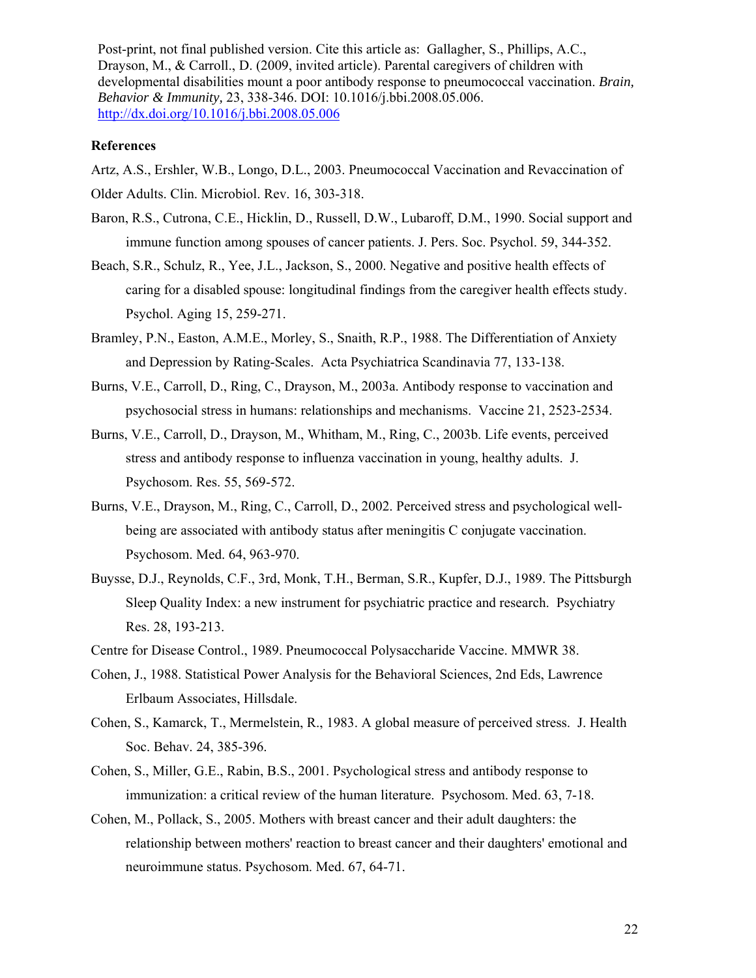#### **References**

Artz, A.S., Ershler, W.B., Longo, D.L., 2003. Pneumococcal Vaccination and Revaccination of Older Adults. Clin. Microbiol. Rev. 16, 303-318.

- Baron, R.S., Cutrona, C.E., Hicklin, D., Russell, D.W., Lubaroff, D.M., 1990. Social support and immune function among spouses of cancer patients. J. Pers. Soc. Psychol. 59, 344-352.
- Beach, S.R., Schulz, R., Yee, J.L., Jackson, S., 2000. Negative and positive health effects of caring for a disabled spouse: longitudinal findings from the caregiver health effects study. Psychol. Aging 15, 259-271.
- Bramley, P.N., Easton, A.M.E., Morley, S., Snaith, R.P., 1988. The Differentiation of Anxiety and Depression by Rating-Scales. Acta Psychiatrica Scandinavia 77, 133-138.
- Burns, V.E., Carroll, D., Ring, C., Drayson, M., 2003a. Antibody response to vaccination and psychosocial stress in humans: relationships and mechanisms. Vaccine 21, 2523-2534.
- Burns, V.E., Carroll, D., Drayson, M., Whitham, M., Ring, C., 2003b. Life events, perceived stress and antibody response to influenza vaccination in young, healthy adults. J. Psychosom. Res. 55, 569-572.
- Burns, V.E., Drayson, M., Ring, C., Carroll, D., 2002. Perceived stress and psychological wellbeing are associated with antibody status after meningitis C conjugate vaccination. Psychosom. Med. 64, 963-970.
- Buysse, D.J., Reynolds, C.F., 3rd, Monk, T.H., Berman, S.R., Kupfer, D.J., 1989. The Pittsburgh Sleep Quality Index: a new instrument for psychiatric practice and research. Psychiatry Res. 28, 193-213.
- Centre for Disease Control., 1989. Pneumococcal Polysaccharide Vaccine. MMWR 38.
- Cohen, J., 1988. Statistical Power Analysis for the Behavioral Sciences, 2nd Eds, Lawrence Erlbaum Associates, Hillsdale.
- Cohen, S., Kamarck, T., Mermelstein, R., 1983. A global measure of perceived stress. J. Health Soc. Behav. 24, 385-396.
- Cohen, S., Miller, G.E., Rabin, B.S., 2001. Psychological stress and antibody response to immunization: a critical review of the human literature. Psychosom. Med. 63, 7-18.
- Cohen, M., Pollack, S., 2005. Mothers with breast cancer and their adult daughters: the relationship between mothers' reaction to breast cancer and their daughters' emotional and neuroimmune status. Psychosom. Med. 67, 64-71.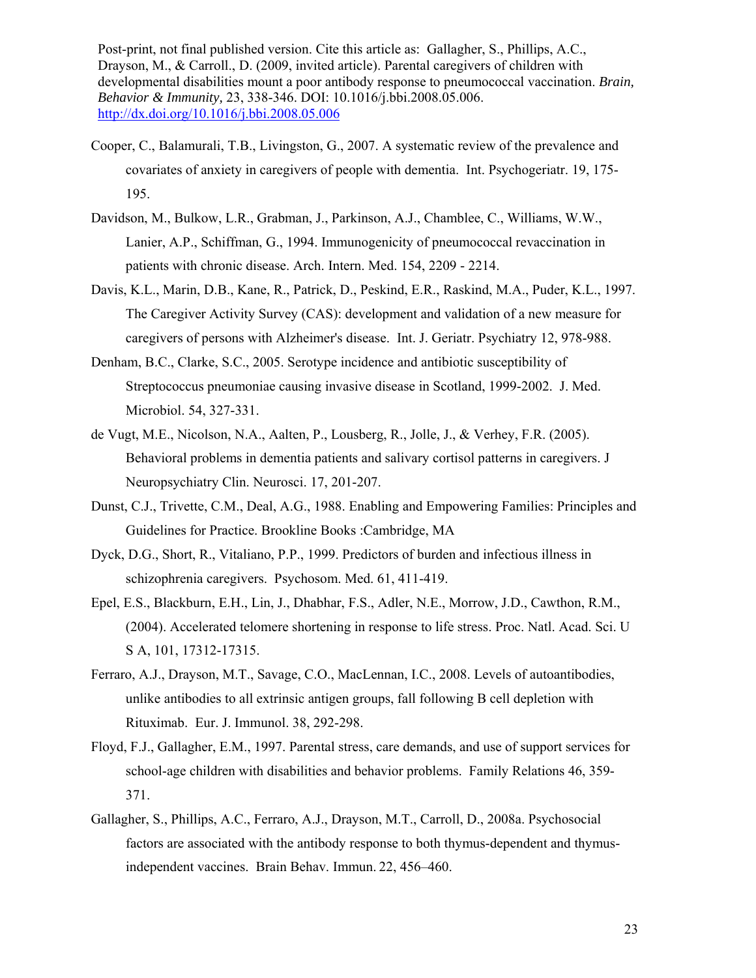- Cooper, C., Balamurali, T.B., Livingston, G., 2007. A systematic review of the prevalence and covariates of anxiety in caregivers of people with dementia. Int. Psychogeriatr. 19, 175- 195.
- Davidson, M., Bulkow, L.R., Grabman, J., Parkinson, A.J., Chamblee, C., Williams, W.W., Lanier, A.P., Schiffman, G., 1994. Immunogenicity of pneumococcal revaccination in patients with chronic disease. Arch. Intern. Med. 154, 2209 - 2214.
- Davis, K.L., Marin, D.B., Kane, R., Patrick, D., Peskind, E.R., Raskind, M.A., Puder, K.L., 1997. The Caregiver Activity Survey (CAS): development and validation of a new measure for caregivers of persons with Alzheimer's disease. Int. J. Geriatr. Psychiatry 12, 978-988.
- Denham, B.C., Clarke, S.C., 2005. Serotype incidence and antibiotic susceptibility of Streptococcus pneumoniae causing invasive disease in Scotland, 1999-2002. J. Med. Microbiol. 54, 327-331.
- de Vugt, M.E., Nicolson, N.A., Aalten, P., Lousberg, R., Jolle, J., & Verhey, F.R. (2005). Behavioral problems in dementia patients and salivary cortisol patterns in caregivers. J Neuropsychiatry Clin. Neurosci. 17, 201-207.
- Dunst, C.J., Trivette, C.M., Deal, A.G., 1988. Enabling and Empowering Families: Principles and Guidelines for Practice. Brookline Books :Cambridge, MA
- Dyck, D.G., Short, R., Vitaliano, P.P., 1999. Predictors of burden and infectious illness in schizophrenia caregivers. Psychosom. Med. 61, 411-419.
- Epel, E.S., Blackburn, E.H., Lin, J., Dhabhar, F.S., Adler, N.E., Morrow, J.D., Cawthon, R.M., (2004). Accelerated telomere shortening in response to life stress. Proc. Natl. Acad. Sci. U S A, 101, 17312-17315.
- Ferraro, A.J., Drayson, M.T., Savage, C.O., MacLennan, I.C., 2008. Levels of autoantibodies, unlike antibodies to all extrinsic antigen groups, fall following B cell depletion with Rituximab. Eur. J. Immunol. 38, 292-298.
- Floyd, F.J., Gallagher, E.M., 1997. Parental stress, care demands, and use of support services for school-age children with disabilities and behavior problems. Family Relations 46, 359- 371.
- Gallagher, S., Phillips, A.C., Ferraro, A.J., Drayson, M.T., Carroll, D., 2008a. Psychosocial factors are associated with the antibody response to both thymus-dependent and thymusindependent vaccines. Brain Behav. Immun. 22, 456–460.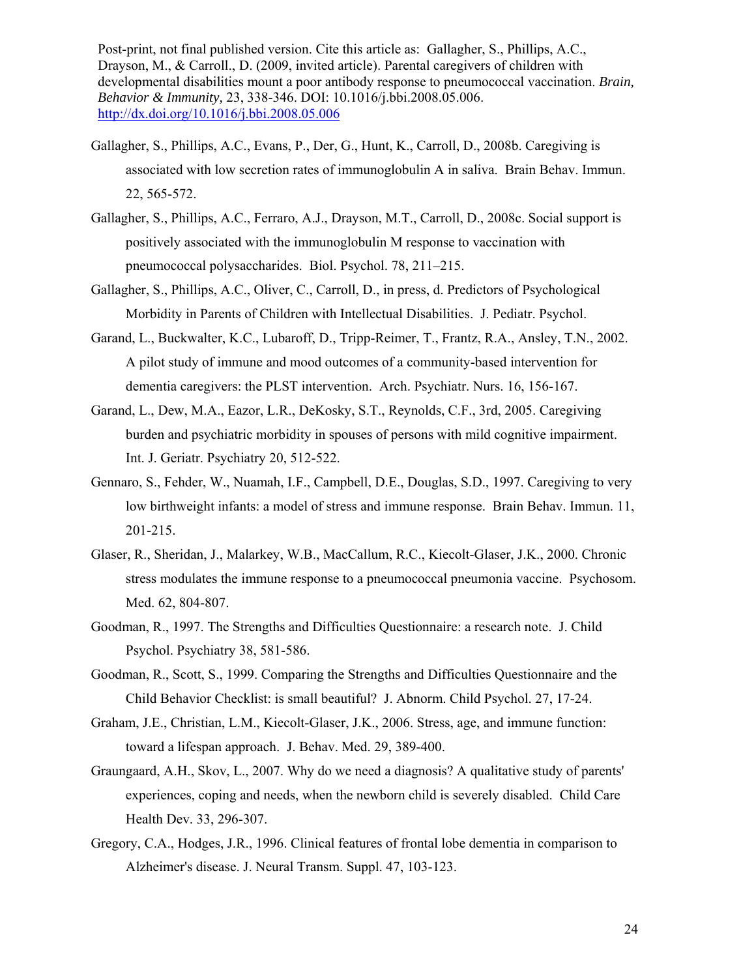- Gallagher, S., Phillips, A.C., Evans, P., Der, G., Hunt, K., Carroll, D., 2008b. Caregiving is associated with low secretion rates of immunoglobulin A in saliva. Brain Behav. Immun. 22, 565-572.
- Gallagher, S., Phillips, A.C., Ferraro, A.J., Drayson, M.T., Carroll, D., 2008c. Social support is positively associated with the immunoglobulin M response to vaccination with pneumococcal polysaccharides. Biol. Psychol. 78, 211–215.
- Gallagher, S., Phillips, A.C., Oliver, C., Carroll, D., in press, d. Predictors of Psychological Morbidity in Parents of Children with Intellectual Disabilities. J. Pediatr. Psychol.
- Garand, L., Buckwalter, K.C., Lubaroff, D., Tripp-Reimer, T., Frantz, R.A., Ansley, T.N., 2002. A pilot study of immune and mood outcomes of a community-based intervention for dementia caregivers: the PLST intervention. Arch. Psychiatr. Nurs. 16, 156-167.
- Garand, L., Dew, M.A., Eazor, L.R., DeKosky, S.T., Reynolds, C.F., 3rd, 2005. Caregiving burden and psychiatric morbidity in spouses of persons with mild cognitive impairment. Int. J. Geriatr. Psychiatry 20, 512-522.
- Gennaro, S., Fehder, W., Nuamah, I.F., Campbell, D.E., Douglas, S.D., 1997. Caregiving to very low birthweight infants: a model of stress and immune response. Brain Behav. Immun. 11, 201-215.
- Glaser, R., Sheridan, J., Malarkey, W.B., MacCallum, R.C., Kiecolt-Glaser, J.K., 2000. Chronic stress modulates the immune response to a pneumococcal pneumonia vaccine. Psychosom. Med. 62, 804-807.
- Goodman, R., 1997. The Strengths and Difficulties Questionnaire: a research note. J. Child Psychol. Psychiatry 38, 581-586.
- Goodman, R., Scott, S., 1999. Comparing the Strengths and Difficulties Questionnaire and the Child Behavior Checklist: is small beautiful? J. Abnorm. Child Psychol. 27, 17-24.
- Graham, J.E., Christian, L.M., Kiecolt-Glaser, J.K., 2006. Stress, age, and immune function: toward a lifespan approach. J. Behav. Med. 29, 389-400.
- Graungaard, A.H., Skov, L., 2007. Why do we need a diagnosis? A qualitative study of parents' experiences, coping and needs, when the newborn child is severely disabled. Child Care Health Dev. 33, 296-307.
- Gregory, C.A., Hodges, J.R., 1996. Clinical features of frontal lobe dementia in comparison to Alzheimer's disease. J. Neural Transm. Suppl. 47, 103-123.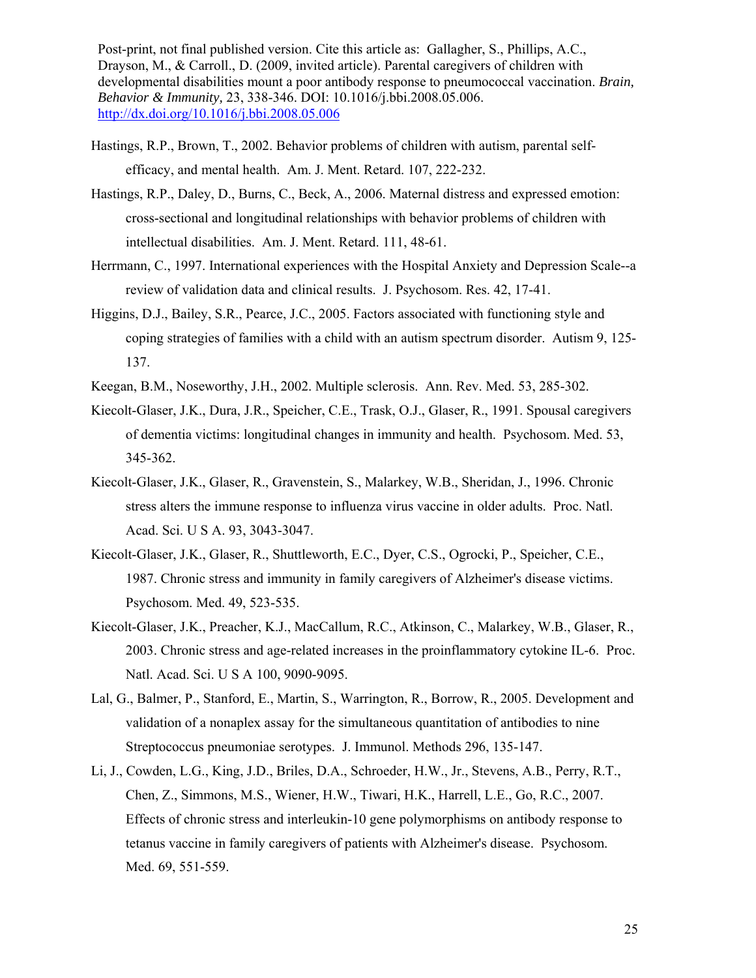- Hastings, R.P., Brown, T., 2002. Behavior problems of children with autism, parental selfefficacy, and mental health. Am. J. Ment. Retard. 107, 222-232.
- Hastings, R.P., Daley, D., Burns, C., Beck, A., 2006. Maternal distress and expressed emotion: cross-sectional and longitudinal relationships with behavior problems of children with intellectual disabilities. Am. J. Ment. Retard. 111, 48-61.
- Herrmann, C., 1997. International experiences with the Hospital Anxiety and Depression Scale--a review of validation data and clinical results. J. Psychosom. Res. 42, 17-41.
- Higgins, D.J., Bailey, S.R., Pearce, J.C., 2005. Factors associated with functioning style and coping strategies of families with a child with an autism spectrum disorder. Autism 9, 125- 137.
- Keegan, B.M., Noseworthy, J.H., 2002. Multiple sclerosis. Ann. Rev. Med. 53, 285-302.
- Kiecolt-Glaser, J.K., Dura, J.R., Speicher, C.E., Trask, O.J., Glaser, R., 1991. Spousal caregivers of dementia victims: longitudinal changes in immunity and health. Psychosom. Med. 53, 345-362.
- Kiecolt-Glaser, J.K., Glaser, R., Gravenstein, S., Malarkey, W.B., Sheridan, J., 1996. Chronic stress alters the immune response to influenza virus vaccine in older adults. Proc. Natl. Acad. Sci. U S A. 93, 3043-3047.
- Kiecolt-Glaser, J.K., Glaser, R., Shuttleworth, E.C., Dyer, C.S., Ogrocki, P., Speicher, C.E., 1987. Chronic stress and immunity in family caregivers of Alzheimer's disease victims. Psychosom. Med. 49, 523-535.
- Kiecolt-Glaser, J.K., Preacher, K.J., MacCallum, R.C., Atkinson, C., Malarkey, W.B., Glaser, R., 2003. Chronic stress and age-related increases in the proinflammatory cytokine IL-6. Proc. Natl. Acad. Sci. U S A 100, 9090-9095.
- Lal, G., Balmer, P., Stanford, E., Martin, S., Warrington, R., Borrow, R., 2005. Development and validation of a nonaplex assay for the simultaneous quantitation of antibodies to nine Streptococcus pneumoniae serotypes. J. Immunol. Methods 296, 135-147.
- Li, J., Cowden, L.G., King, J.D., Briles, D.A., Schroeder, H.W., Jr., Stevens, A.B., Perry, R.T., Chen, Z., Simmons, M.S., Wiener, H.W., Tiwari, H.K., Harrell, L.E., Go, R.C., 2007. Effects of chronic stress and interleukin-10 gene polymorphisms on antibody response to tetanus vaccine in family caregivers of patients with Alzheimer's disease. Psychosom. Med. 69, 551-559.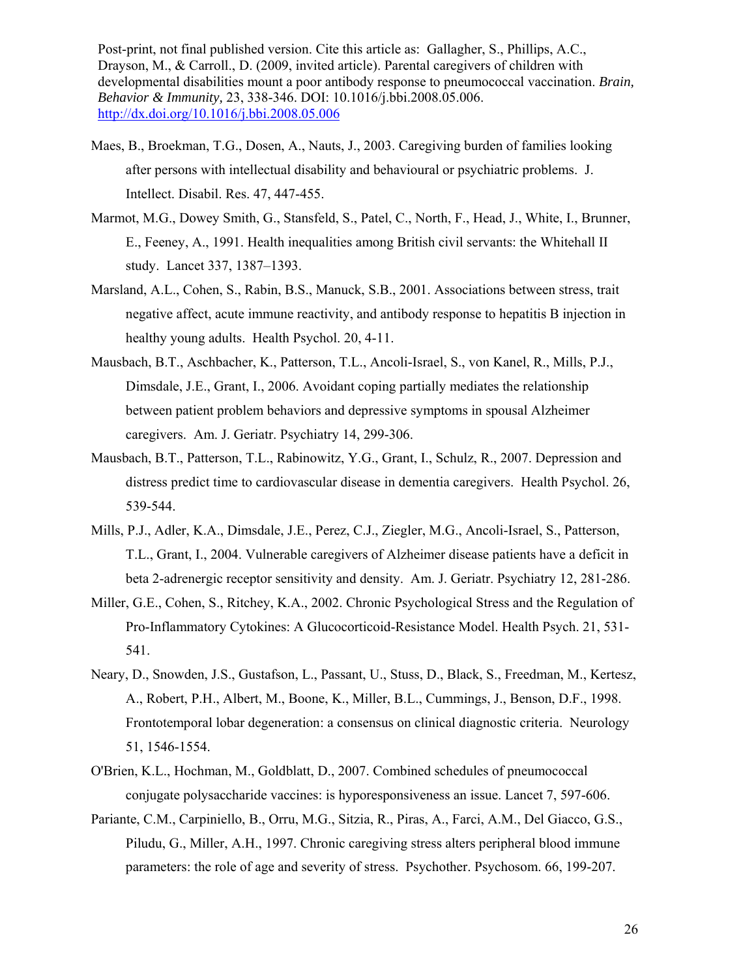- Maes, B., Broekman, T.G., Dosen, A., Nauts, J., 2003. Caregiving burden of families looking after persons with intellectual disability and behavioural or psychiatric problems. J. Intellect. Disabil. Res. 47, 447-455.
- Marmot, M.G., Dowey Smith, G., Stansfeld, S., Patel, C., North, F., Head, J., White, I., Brunner, E., Feeney, A., 1991. Health inequalities among British civil servants: the Whitehall II study. Lancet 337, 1387–1393.
- Marsland, A.L., Cohen, S., Rabin, B.S., Manuck, S.B., 2001. Associations between stress, trait negative affect, acute immune reactivity, and antibody response to hepatitis B injection in healthy young adults. Health Psychol. 20, 4-11.
- Mausbach, B.T., Aschbacher, K., Patterson, T.L., Ancoli-Israel, S., von Kanel, R., Mills, P.J., Dimsdale, J.E., Grant, I., 2006. Avoidant coping partially mediates the relationship between patient problem behaviors and depressive symptoms in spousal Alzheimer caregivers. Am. J. Geriatr. Psychiatry 14, 299-306.
- Mausbach, B.T., Patterson, T.L., Rabinowitz, Y.G., Grant, I., Schulz, R., 2007. Depression and distress predict time to cardiovascular disease in dementia caregivers. Health Psychol. 26, 539-544.
- Mills, P.J., Adler, K.A., Dimsdale, J.E., Perez, C.J., Ziegler, M.G., Ancoli-Israel, S., Patterson, T.L., Grant, I., 2004. Vulnerable caregivers of Alzheimer disease patients have a deficit in beta 2-adrenergic receptor sensitivity and density. Am. J. Geriatr. Psychiatry 12, 281-286.
- Miller, G.E., Cohen, S., Ritchey, K.A., 2002. Chronic Psychological Stress and the Regulation of Pro-Inflammatory Cytokines: A Glucocorticoid-Resistance Model. Health Psych. 21, 531- 541.
- Neary, D., Snowden, J.S., Gustafson, L., Passant, U., Stuss, D., Black, S., Freedman, M., Kertesz, A., Robert, P.H., Albert, M., Boone, K., Miller, B.L., Cummings, J., Benson, D.F., 1998. Frontotemporal lobar degeneration: a consensus on clinical diagnostic criteria. Neurology 51, 1546-1554.
- O'Brien, K.L., Hochman, M., Goldblatt, D., 2007. Combined schedules of pneumococcal conjugate polysaccharide vaccines: is hyporesponsiveness an issue. Lancet 7, 597-606.
- Pariante, C.M., Carpiniello, B., Orru, M.G., Sitzia, R., Piras, A., Farci, A.M., Del Giacco, G.S., Piludu, G., Miller, A.H., 1997. Chronic caregiving stress alters peripheral blood immune parameters: the role of age and severity of stress. Psychother. Psychosom. 66, 199-207.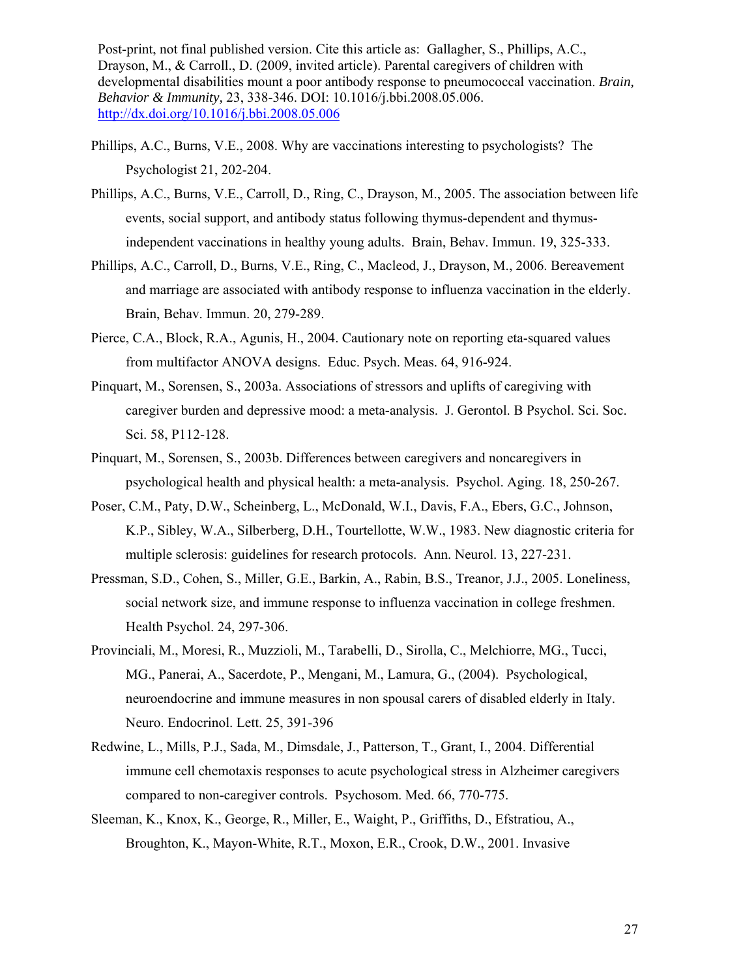- Phillips, A.C., Burns, V.E., 2008. Why are vaccinations interesting to psychologists? The Psychologist 21, 202-204.
- Phillips, A.C., Burns, V.E., Carroll, D., Ring, C., Drayson, M., 2005. The association between life events, social support, and antibody status following thymus-dependent and thymusindependent vaccinations in healthy young adults. Brain, Behav. Immun. 19, 325-333.
- Phillips, A.C., Carroll, D., Burns, V.E., Ring, C., Macleod, J., Drayson, M., 2006. Bereavement and marriage are associated with antibody response to influenza vaccination in the elderly. Brain, Behav. Immun. 20, 279-289.
- Pierce, C.A., Block, R.A., Agunis, H., 2004. Cautionary note on reporting eta-squared values from multifactor ANOVA designs. Educ. Psych. Meas. 64, 916-924.
- Pinquart, M., Sorensen, S., 2003a. Associations of stressors and uplifts of caregiving with caregiver burden and depressive mood: a meta-analysis. J. Gerontol. B Psychol. Sci. Soc. Sci. 58, P112-128.
- Pinquart, M., Sorensen, S., 2003b. Differences between caregivers and noncaregivers in psychological health and physical health: a meta-analysis. Psychol. Aging. 18, 250-267.
- Poser, C.M., Paty, D.W., Scheinberg, L., McDonald, W.I., Davis, F.A., Ebers, G.C., Johnson, K.P., Sibley, W.A., Silberberg, D.H., Tourtellotte, W.W., 1983. New diagnostic criteria for multiple sclerosis: guidelines for research protocols. Ann. Neurol. 13, 227-231.
- Pressman, S.D., Cohen, S., Miller, G.E., Barkin, A., Rabin, B.S., Treanor, J.J., 2005. Loneliness, social network size, and immune response to influenza vaccination in college freshmen. Health Psychol. 24, 297-306.
- Provinciali, M., Moresi, R., Muzzioli, M., Tarabelli, D., Sirolla, C., Melchiorre, MG., Tucci, MG., Panerai, A., Sacerdote, P., Mengani, M., Lamura, G., (2004). Psychological, neuroendocrine and immune measures in non spousal carers of disabled elderly in Italy. Neuro. Endocrinol. Lett. 25, 391-396
- Redwine, L., Mills, P.J., Sada, M., Dimsdale, J., Patterson, T., Grant, I., 2004. Differential immune cell chemotaxis responses to acute psychological stress in Alzheimer caregivers compared to non-caregiver controls. Psychosom. Med. 66, 770-775.
- Sleeman, K., Knox, K., George, R., Miller, E., Waight, P., Griffiths, D., Efstratiou, A., Broughton, K., Mayon-White, R.T., Moxon, E.R., Crook, D.W., 2001. Invasive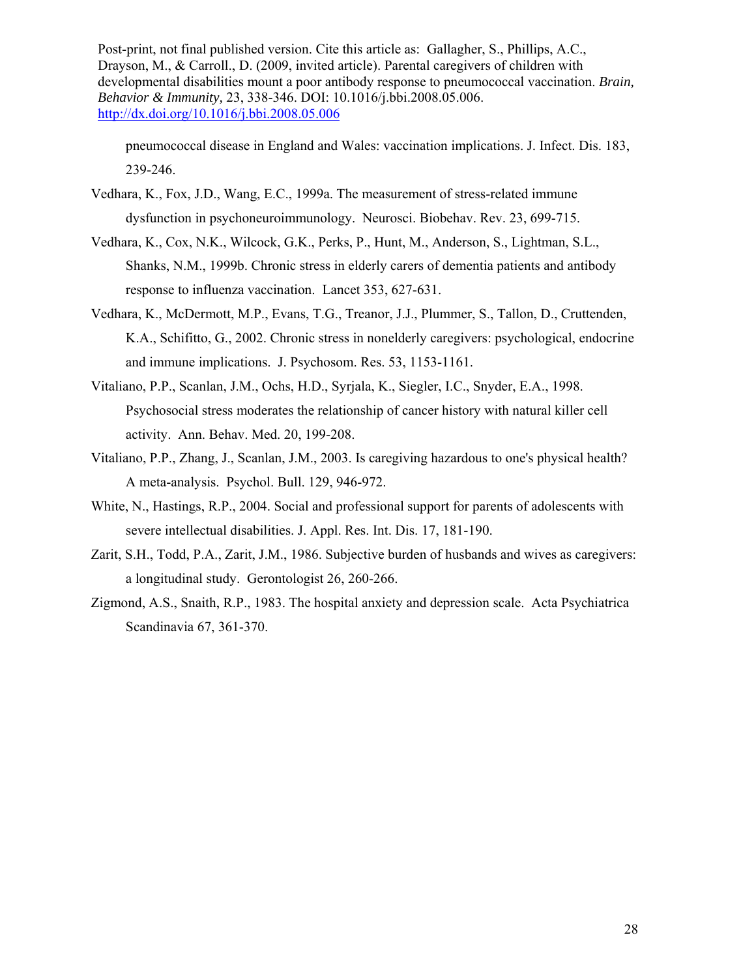pneumococcal disease in England and Wales: vaccination implications. J. Infect. Dis. 183, 239-246.

- Vedhara, K., Fox, J.D., Wang, E.C., 1999a. The measurement of stress-related immune dysfunction in psychoneuroimmunology. Neurosci. Biobehav. Rev. 23, 699-715.
- Vedhara, K., Cox, N.K., Wilcock, G.K., Perks, P., Hunt, M., Anderson, S., Lightman, S.L., Shanks, N.M., 1999b. Chronic stress in elderly carers of dementia patients and antibody response to influenza vaccination. Lancet 353, 627-631.
- Vedhara, K., McDermott, M.P., Evans, T.G., Treanor, J.J., Plummer, S., Tallon, D., Cruttenden, K.A., Schifitto, G., 2002. Chronic stress in nonelderly caregivers: psychological, endocrine and immune implications. J. Psychosom. Res. 53, 1153-1161.
- Vitaliano, P.P., Scanlan, J.M., Ochs, H.D., Syrjala, K., Siegler, I.C., Snyder, E.A., 1998. Psychosocial stress moderates the relationship of cancer history with natural killer cell activity. Ann. Behav. Med. 20, 199-208.
- Vitaliano, P.P., Zhang, J., Scanlan, J.M., 2003. Is caregiving hazardous to one's physical health? A meta-analysis. Psychol. Bull. 129, 946-972.
- White, N., Hastings, R.P., 2004. Social and professional support for parents of adolescents with severe intellectual disabilities. J. Appl. Res. Int. Dis. 17, 181-190.
- Zarit, S.H., Todd, P.A., Zarit, J.M., 1986. Subjective burden of husbands and wives as caregivers: a longitudinal study. Gerontologist 26, 260-266.
- Zigmond, A.S., Snaith, R.P., 1983. The hospital anxiety and depression scale. Acta Psychiatrica Scandinavia 67, 361-370.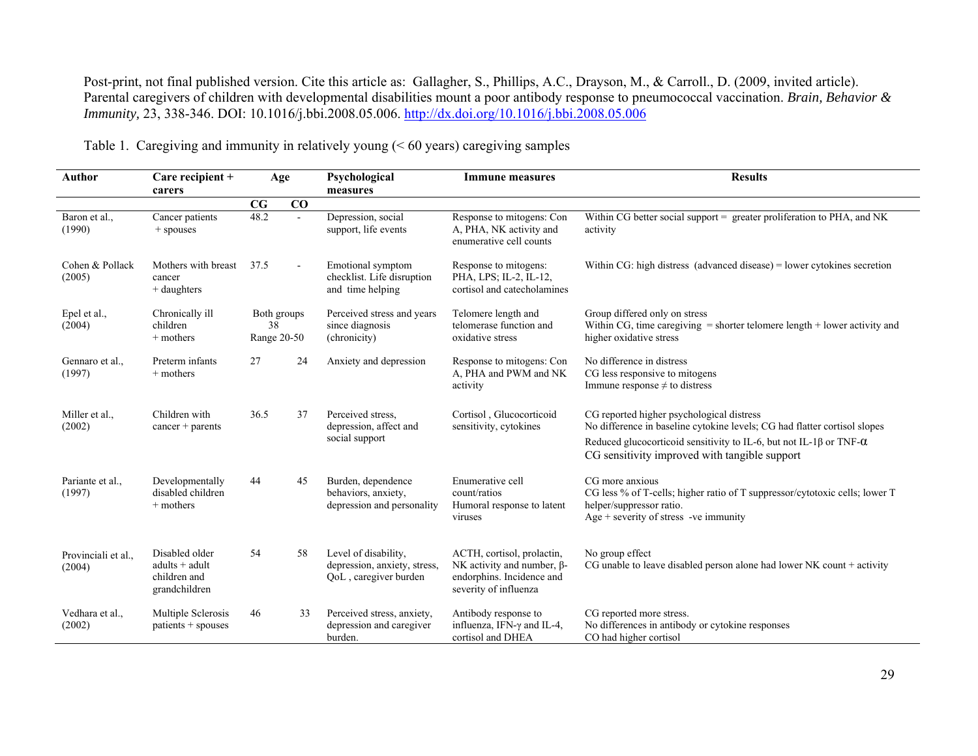| Author                        | Care recipient +<br>carers                                          | Age                              |                | Psychological<br><b>Immune measures</b><br>measures                           |                                                                                                                       | <b>Results</b>                                                                                                                                                                                                                                               |  |
|-------------------------------|---------------------------------------------------------------------|----------------------------------|----------------|-------------------------------------------------------------------------------|-----------------------------------------------------------------------------------------------------------------------|--------------------------------------------------------------------------------------------------------------------------------------------------------------------------------------------------------------------------------------------------------------|--|
|                               |                                                                     | CG                               | CO             |                                                                               |                                                                                                                       |                                                                                                                                                                                                                                                              |  |
| Baron et al.,<br>(1990)       | Cancer patients<br>+ spouses                                        | 48.2                             | $\sim$         | Depression, social<br>support, life events                                    | Response to mitogens: Con<br>A, PHA, NK activity and<br>enumerative cell counts                                       | Within CG better social support = greater proliferation to PHA, and NK<br>activity                                                                                                                                                                           |  |
| Cohen & Pollack<br>(2005)     | Mothers with breast<br>cancer<br>$+$ daughters                      | 37.5                             | $\blacksquare$ | Emotional symptom<br>checklist. Life disruption<br>and time helping           | Response to mitogens:<br>PHA, LPS; IL-2, IL-12,<br>cortisol and catecholamines                                        | Within CG: high distress (advanced disease) = lower cytokines secretion                                                                                                                                                                                      |  |
| Epel et al.,<br>(2004)        | Chronically ill<br>children<br>$+$ mothers                          | Both groups<br>38<br>Range 20-50 |                | Perceived stress and years<br>since diagnosis<br>(chronicity)                 | Telomere length and<br>telomerase function and<br>oxidative stress                                                    | Group differed only on stress<br>Within CG, time caregiving $=$ shorter telomere length $+$ lower activity and<br>higher oxidative stress                                                                                                                    |  |
| Gennaro et al.,<br>(1997)     | Preterm infants<br>$+$ mothers                                      | 27                               | 24             | Anxiety and depression                                                        | Response to mitogens: Con<br>A, PHA and PWM and NK<br>activity                                                        | No difference in distress<br>CG less responsive to mitogens<br>Immune response $\neq$ to distress                                                                                                                                                            |  |
| Miller et al.,<br>(2002)      | Children with<br>$cancer + parents$                                 | 36.5                             | 37             | Perceived stress.<br>depression, affect and<br>social support                 | Cortisol, Glucocorticoid<br>sensitivity, cytokines                                                                    | CG reported higher psychological distress<br>No difference in baseline cytokine levels; CG had flatter cortisol slopes<br>Reduced glucocorticoid sensitivity to IL-6, but not IL-1 $\beta$ or TNF- $\alpha$<br>CG sensitivity improved with tangible support |  |
| Pariante et al.,<br>(1997)    | Developmentally<br>disabled children<br>$+$ mothers                 | 44                               | 45             | Burden, dependence<br>behaviors, anxiety,<br>depression and personality       | Enumerative cell<br>count/ratios<br>Humoral response to latent<br>viruses                                             | CG more anxious<br>CG less % of T-cells; higher ratio of T suppressor/cytotoxic cells; lower T<br>helper/suppressor ratio.<br>$Age + severity$ of stress -ve immunity                                                                                        |  |
| Provinciali et al.,<br>(2004) | Disabled older<br>$adults + adult$<br>children and<br>grandchildren | 54                               | 58             | Level of disability,<br>depression, anxiety, stress,<br>QoL, caregiver burden | ACTH, cortisol, prolactin,<br>NK activity and number, $\beta$ -<br>endorphins. Incidence and<br>severity of influenza | No group effect<br>CG unable to leave disabled person alone had lower NK count + activity                                                                                                                                                                    |  |
| Vedhara et al.,<br>(2002)     | Multiple Sclerosis<br>$patients + spouses$                          | 46                               | 33             | Perceived stress, anxiety,<br>depression and caregiver<br>burden.             | Antibody response to<br>influenza, IFN- $\gamma$ and IL-4,<br>cortisol and DHEA                                       | CG reported more stress.<br>No differences in antibody or cytokine responses<br>CO had higher cortisol                                                                                                                                                       |  |

Table 1. Caregiving and immunity in relatively young (< 60 years) caregiving samples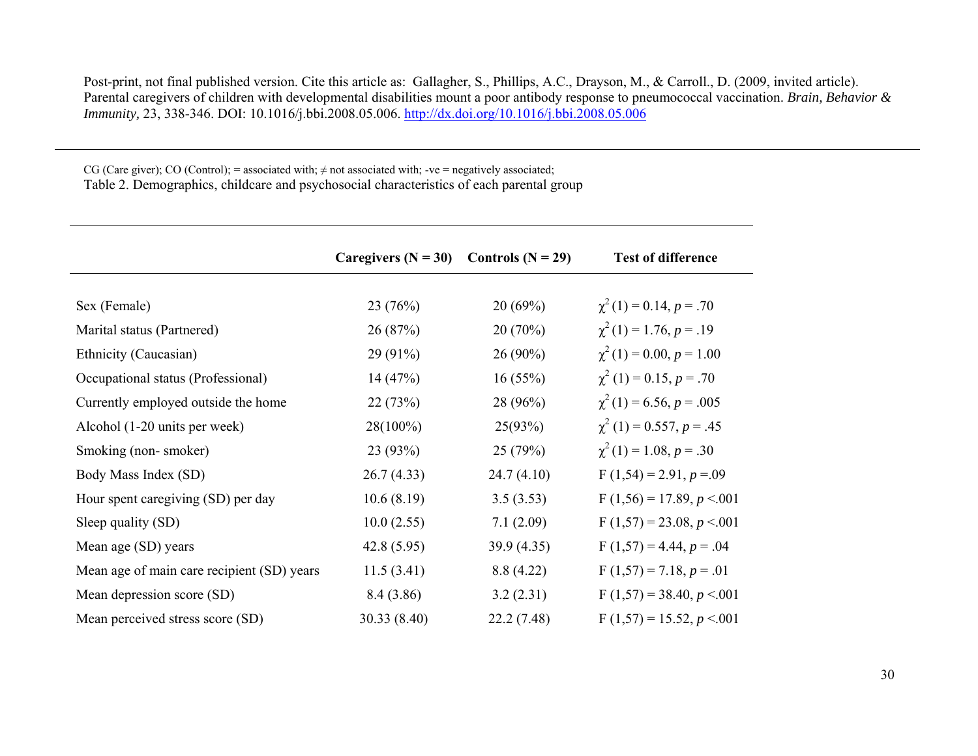CG (Care giver); CO (Control); = associated with;  $\neq$  not associated with; -ve = negatively associated; Table 2. Demographics, childcare and psychosocial characteristics of each parental group

|                                            | Caregivers $(N = 30)$ | Controls $(N = 29)$ | <b>Test of difference</b>     |
|--------------------------------------------|-----------------------|---------------------|-------------------------------|
|                                            |                       |                     |                               |
| Sex (Female)                               | 23(76%)               | 20(69%)             | $\chi^2(1) = 0.14, p = .70$   |
| Marital status (Partnered)                 | 26(87%)               | 20(70%)             | $\chi^2(1) = 1.76, p = .19$   |
| Ethnicity (Caucasian)                      | $29(91\%)$            | $26(90\%)$          | $\chi^2(1) = 0.00, p = 1.00$  |
| Occupational status (Professional)         | 14(47%)               | 16(55%)             | $\chi^2(1) = 0.15, p = .70$   |
| Currently employed outside the home        | 22(73%)               | 28 (96%)            | $\chi^2(1) = 6.56, p = .005$  |
| Alcohol (1-20 units per week)              | 28(100%)              | 25(93%)             | $\chi^2(1) = 0.557, p = .45$  |
| Smoking (non-smoker)                       | 23(93%)               | 25(79%)             | $\chi^2(1) = 1.08, p = .30$   |
| Body Mass Index (SD)                       | 26.7(4.33)            | 24.7(4.10)          | $F(1,54) = 2.91, p = 0.09$    |
| Hour spent caregiving (SD) per day         | 10.6(8.19)            | 3.5(3.53)           | $F(1,56) = 17.89, p < 0.001$  |
| Sleep quality (SD)                         | 10.0(2.55)            | 7.1(2.09)           | F $(1,57) = 23.08, p < 0.001$ |
| Mean age (SD) years                        | 42.8(5.95)            | 39.9(4.35)          | $F(1,57) = 4.44, p = .04$     |
| Mean age of main care recipient (SD) years | 11.5(3.41)            | 8.8 (4.22)          | $F(1,57) = 7.18, p = .01$     |
| Mean depression score (SD)                 | 8.4 (3.86)            | 3.2(2.31)           | F $(1,57) = 38.40, p < 0.001$ |
| Mean perceived stress score (SD)           | 30.33(8.40)           | 22.2(7.48)          | F $(1,57) = 15.52, p < 0.001$ |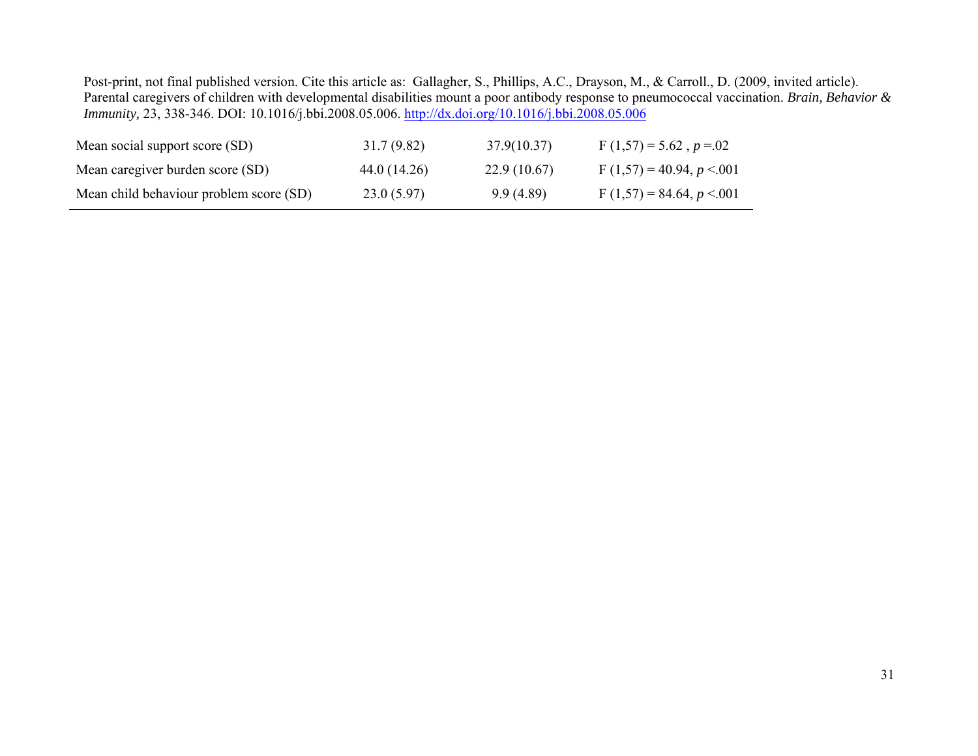| Mean social support score (SD)          | 31.7(9.82)   | 37.9(10.37) | F $(1,57) = 5.62$ , $p = 02$  |
|-----------------------------------------|--------------|-------------|-------------------------------|
| Mean caregiver burden score (SD)        | 44.0 (14.26) | 22.9(10.67) | F $(1,57) = 40.94, p < 0.001$ |
| Mean child behaviour problem score (SD) | 23.0(5.97)   | 9.9(4.89)   | F $(1,57) = 84.64, p < 0.001$ |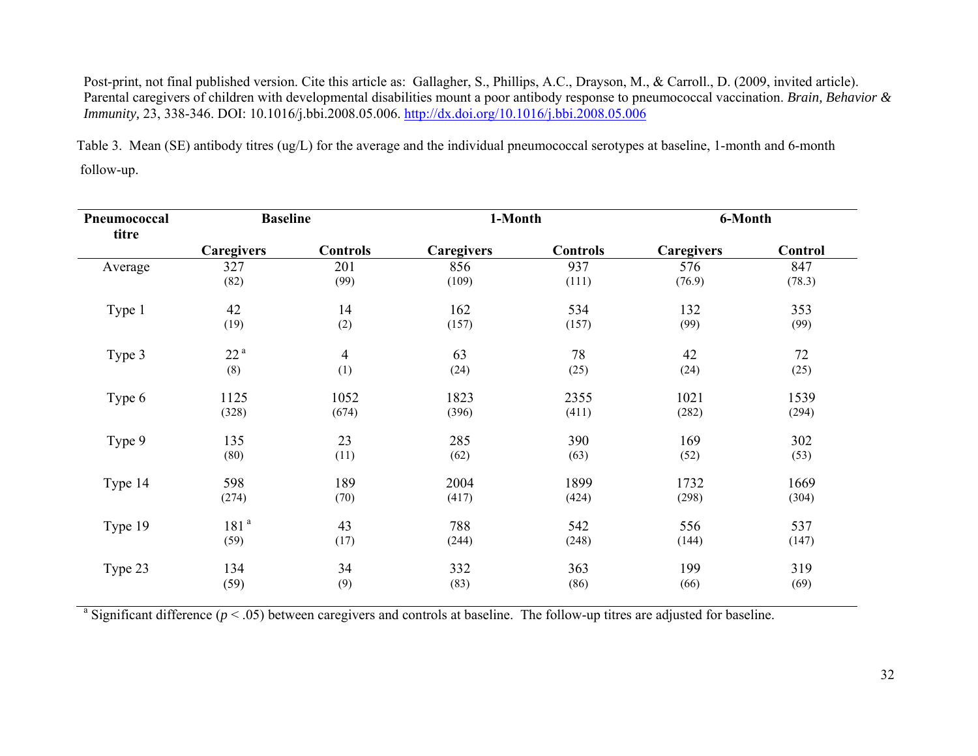Table 3. Mean (SE) antibody titres (ug/L) for the average and the individual pneumococcal serotypes at baseline, 1-month and 6-month follow-up.

| Pneumococcal<br>titre | <b>Baseline</b>  |                 | 1-Month           |                 | 6-Month           |         |
|-----------------------|------------------|-----------------|-------------------|-----------------|-------------------|---------|
|                       | Caregivers       | <b>Controls</b> | <b>Caregivers</b> | <b>Controls</b> | <b>Caregivers</b> | Control |
| Average               | 327              | 201             | 856               | 937             | 576               | 847     |
|                       | (82)             | (99)            | (109)             | (111)           | (76.9)            | (78.3)  |
| Type 1                | 42               | 14              | 162               | 534             | 132               | 353     |
|                       | (19)             | (2)             | (157)             | (157)           | (99)              | (99)    |
| Type 3                | 22 <sup>a</sup>  | $\overline{4}$  | 63                | 78              | 42                | 72      |
|                       | (8)              | (1)             | (24)              | (25)            | (24)              | (25)    |
| Type 6                | 1125             | 1052            | 1823              | 2355            | 1021              | 1539    |
|                       | (328)            | (674)           | (396)             | (411)           | (282)             | (294)   |
| Type 9                | 135              | 23              | 285               | 390             | 169               | 302     |
|                       | (80)             | (11)            | (62)              | (63)            | (52)              | (53)    |
| Type 14               | 598              | 189             | 2004              | 1899            | 1732              | 1669    |
|                       | (274)            | (70)            | (417)             | (424)           | (298)             | (304)   |
| Type 19               | 181 <sup>a</sup> | 43              | 788               | 542             | 556               | 537     |
|                       | (59)             | (17)            | (244)             | (248)           | (144)             | (147)   |
| Type 23               | 134              | 34              | 332               | 363             | 199               | 319     |
|                       | (59)             | (9)             | (83)              | (86)            | (66)              | (69)    |

<sup>a</sup> Significant difference ( $p < .05$ ) between caregivers and controls at baseline. The follow-up titres are adjusted for baseline.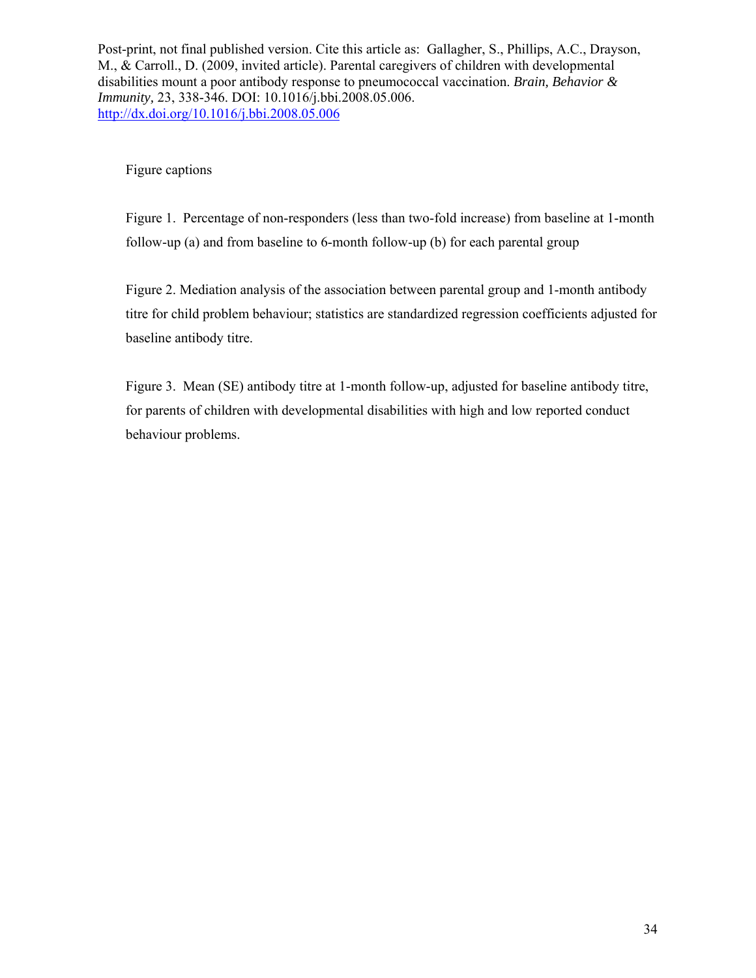Figure captions

Figure 1. Percentage of non-responders (less than two-fold increase) from baseline at 1-month follow-up (a) and from baseline to 6-month follow-up (b) for each parental group

Figure 2. Mediation analysis of the association between parental group and 1-month antibody titre for child problem behaviour; statistics are standardized regression coefficients adjusted for baseline antibody titre.

Figure 3. Mean (SE) antibody titre at 1-month follow-up, adjusted for baseline antibody titre, for parents of children with developmental disabilities with high and low reported conduct behaviour problems.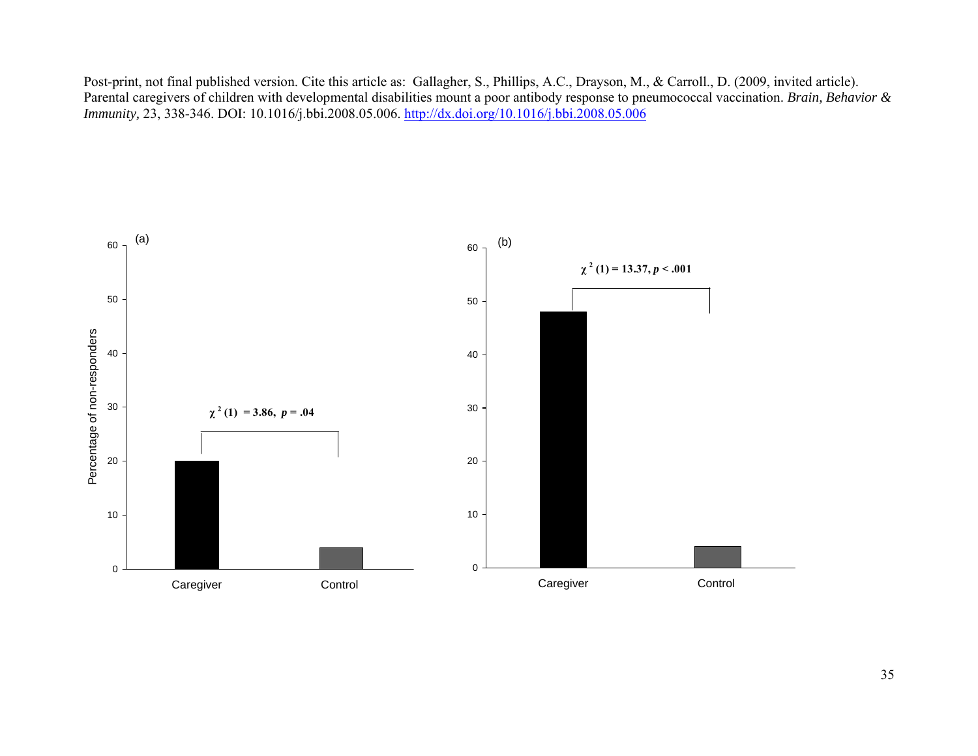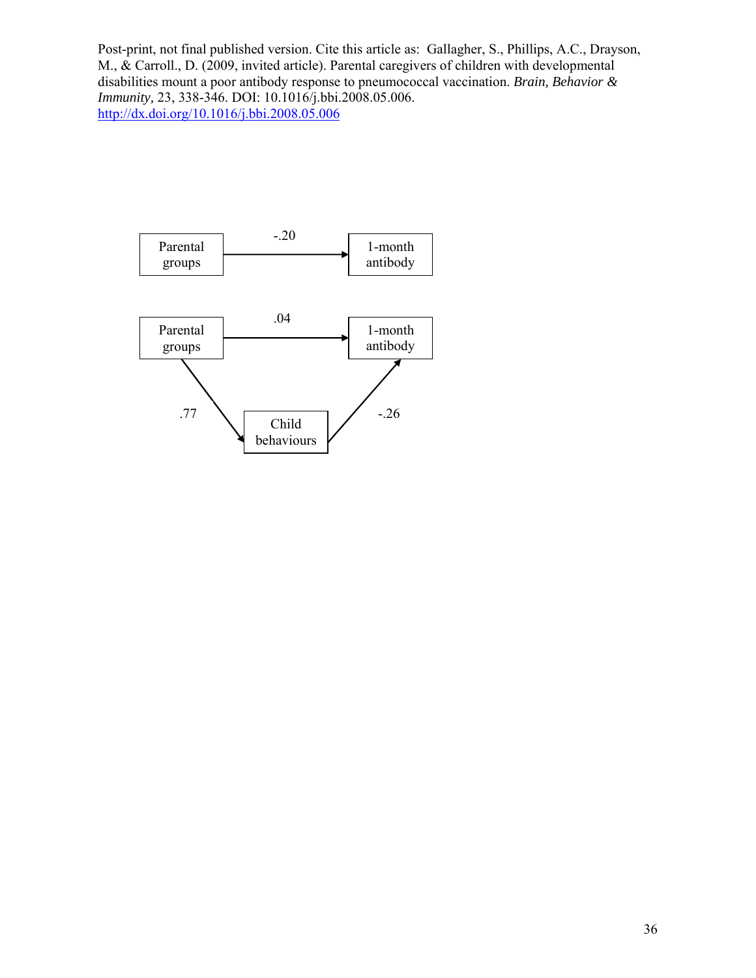